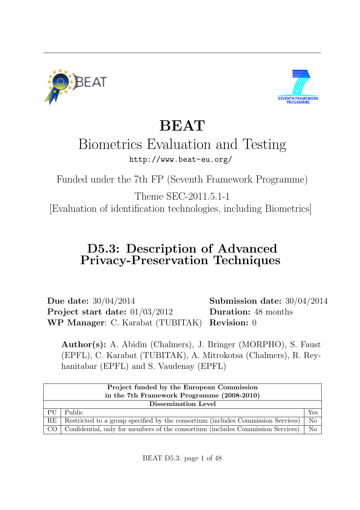



# BEAT

# Biometrics Evaluation and Testing <http://www.beat-eu.org/>

Funded under the 7th FP (Seventh Framework Programme)

Theme SEC-2011.5.1-1 [Evaluation of identification technologies, including Biometrics]

# D5.3: Description of Advanced Privacy-Preservation Techniques

Due date:  $30/04/2014$  Submission date:  $30/04/2014$ Project start date:  $01/03/2012$  Duration: 48 months WP Manager: C. Karabat (TUBITAK) Revision: 0

Author(s): A. Abidin (Chalmers), J. Bringer (MORPHO), S. Faust (EPFL), C. Karabat (TUBITAK), A. Mitrokotsa (Chalmers), R. Reyhanitabar (EPFL) and S. Vaudenay (EPFL)

|                 | Project funded by the European Commission                                        |                |  |  |  |  |  |
|-----------------|----------------------------------------------------------------------------------|----------------|--|--|--|--|--|
|                 | in the 7th Framework Programme (2008-2010)                                       |                |  |  |  |  |  |
|                 | <b>Dissemination Level</b>                                                       |                |  |  |  |  |  |
| PU              | Public                                                                           | Yes.           |  |  |  |  |  |
| RE              | Restricted to a group specified by the consortium (includes Commission Services) | N <sub>o</sub> |  |  |  |  |  |
| CO <sub>1</sub> | Confidential, only for members of the consortium (includes Commission Services)  | No             |  |  |  |  |  |

BEAT D5.3: page 1 of [48](#page-39-0)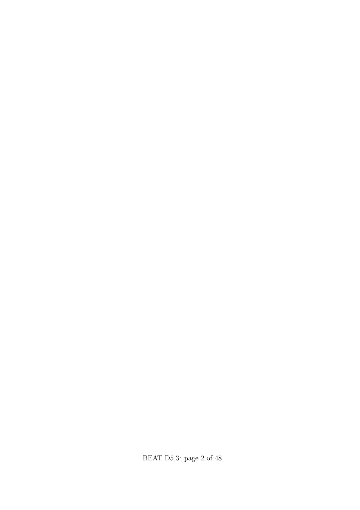BEAT D5.3: page 2 of [48](#page-39-0)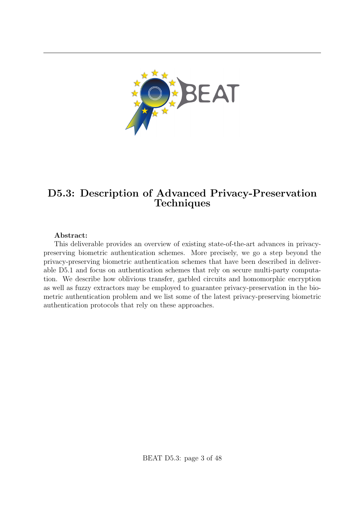

# D5.3: Description of Advanced Privacy-Preservation **Techniques**

## Abstract:

This deliverable provides an overview of existing state-of-the-art advances in privacypreserving biometric authentication schemes. More precisely, we go a step beyond the privacy-preserving biometric authentication schemes that have been described in deliverable D5.1 and focus on authentication schemes that rely on secure multi-party computation. We describe how oblivious transfer, garbled circuits and homomorphic encryption as well as fuzzy extractors may be employed to guarantee privacy-preservation in the biometric authentication problem and we list some of the latest privacy-preserving biometric authentication protocols that rely on these approaches.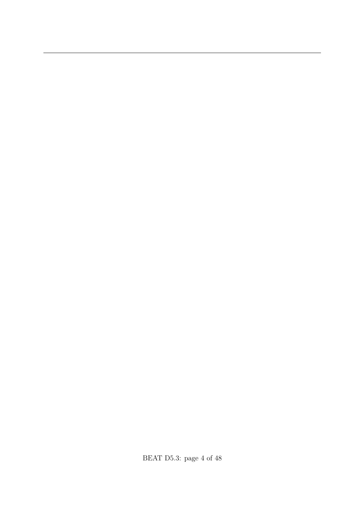BEAT D5.3: page 4 of [48](#page-39-0)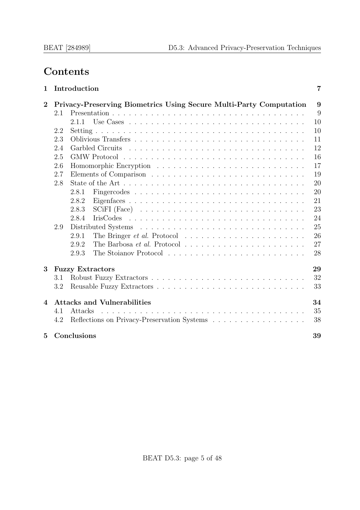# Contents

| 1              |     | Introduction |                                                                                                        | 7  |
|----------------|-----|--------------|--------------------------------------------------------------------------------------------------------|----|
| $\overline{2}$ |     |              | Privacy-Preserving Biometrics Using Secure Multi-Party Computation                                     | 9  |
|                | 2.1 |              |                                                                                                        | 9  |
|                |     | 2.1.1        |                                                                                                        | 10 |
|                | 2.2 |              |                                                                                                        | 10 |
|                | 2.3 |              |                                                                                                        | 11 |
|                | 2.4 |              |                                                                                                        | 12 |
|                | 2.5 |              |                                                                                                        | 16 |
|                | 2.6 |              |                                                                                                        | 17 |
|                | 2.7 |              |                                                                                                        | 19 |
|                | 2.8 |              | State of the Art $\dots \dots \dots \dots \dots \dots \dots \dots \dots \dots \dots \dots \dots \dots$ | 20 |
|                |     | 2.8.1        |                                                                                                        | 20 |
|                |     | 2.8.2        |                                                                                                        | 21 |
|                |     | 2.8.3        |                                                                                                        | 23 |
|                |     | 2.8.4        | <b>IrisCodes</b>                                                                                       | 24 |
|                | 2.9 |              |                                                                                                        | 25 |
|                |     | 2.9.1        | The Bringer <i>et al.</i> Protocol $\ldots \ldots \ldots \ldots \ldots \ldots \ldots$                  | 26 |
|                |     | 2.9.2        |                                                                                                        | 27 |
|                |     | 2.9.3        |                                                                                                        | 28 |
| 3              |     |              | <b>Fuzzy Extractors</b>                                                                                | 29 |
|                | 3.1 |              |                                                                                                        | 32 |
|                | 3.2 |              |                                                                                                        | 33 |
| $\overline{4}$ |     |              | <b>Attacks and Vulnerabilities</b>                                                                     | 34 |
|                | 4.1 | Attacks      |                                                                                                        | 35 |
|                | 4.2 |              | Reflections on Privacy-Preservation Systems $\ldots \ldots \ldots \ldots \ldots \ldots$                | 38 |
| $\overline{5}$ |     | Conclusions  |                                                                                                        | 39 |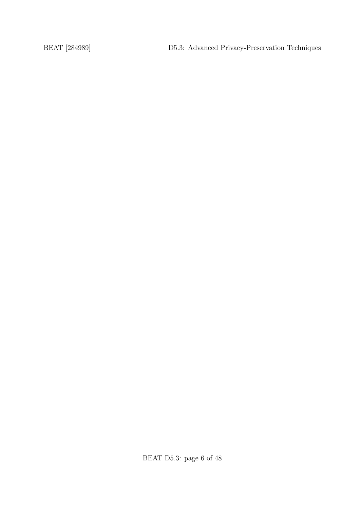BEAT D5.3: page 6 of [48](#page-39-0)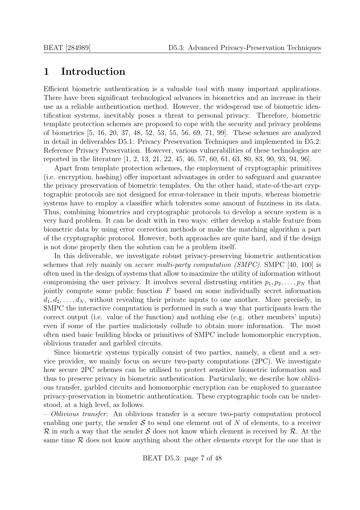# <span id="page-6-0"></span>1 Introduction

Efficient biometric authentication is a valuable tool with many important applications. There have been significant technological advances in biometrics and an increase in their use as a reliable authentication method. However, the widespread use of biometric identification systems, inevitably poses a threat to personal privacy. Therefore, biometric template protection schemes are proposed to cope with the security and privacy problems of biometrics [\[5,](#page-39-1) [16,](#page-40-0) [20,](#page-40-1) [37,](#page-42-0) [48,](#page-43-0) [52,](#page-43-1) [53,](#page-43-2) [55,](#page-43-3) [56,](#page-43-4) [69,](#page-44-0) [71,](#page-45-0) [99\]](#page-47-0). These schemes are analyzed in detail in deliverables D5.1: Privacy Preservation Techniques and implemented in D5.2: Reference Privacy Preservation. However, various vulnerabilities of these technologies are reported in the literature [\[1,](#page-39-2) [2,](#page-39-3) [13,](#page-40-2) [21,](#page-41-0) [22,](#page-41-1) [45,](#page-42-1) [46,](#page-43-5) [57,](#page-43-6) [60,](#page-44-1) [61,](#page-44-2) [63,](#page-44-3) [80,](#page-45-1) [83,](#page-46-0) [90,](#page-46-1) [93,](#page-46-2) [94,](#page-46-3) [96\]](#page-47-1).

Apart from template protection schemes, the employment of cryptographic primitives (i.e. encryption, hashing) offer important advantages in order to safeguard and guarantee the privacy preservation of biometric templates. On the other hand, state-of-the-art cryptographic protocols are not designed for error-tolerance in their inputs, whereas biometric systems have to employ a classifier which tolerates some amount of fuzziness in its data. Thus, combining biometrics and cryptographic protocols to develop a secure system is a very hard problem. It can be dealt with in two ways: either develop a stable feature from biometric data by using error correction methods or make the matching algorithm a part of the cryptographic protocol. However, both approaches are quite hard, and if the design is not done properly then the solution can be a problem itself.

In this deliverable, we investigate robust privacy-preserving biometric authentication schemes that rely mainly on *secure multi-party computation (SMPC)*. SMPC [\[40,](#page-42-2) [100\]](#page-47-2) is often used in the design of systems that allow to maximize the utility of information without compromising the user privacy. It involves several distrusting entities  $p_1, p_2, \ldots, p_N$  that jointly compute some public function  $F$  based on some individually secret information  $d_1, d_2, \ldots, d_N$ , without revealing their private inputs to one another. More precisely, in SMPC the interactive computation is performed in such a way that participants learn the correct output (i.e. value of the function) and nothing else (e.g. other members' inputs) even if some of the parties maliciously collude to obtain more information. The most often used basic building blocks or primitives of SMPC include homomorphic encryption, oblivious transfer and garbled circuits.

Since biometric systems typically consist of two parties, namely, a client and a service provider, we mainly focus on secure two-party computations (2PC). We investigate how secure 2PC schemes can be utilised to protect sensitive biometric information and thus to preserve privacy in biometric authentication. Particularly, we describe how oblivious transfer, garbled circuits and homomorphic encryption can be employed to guarantee privacy-preservation in biometric authentication. These cryptographic tools can be understood, at a high level, as follows.

– Oblivious transfer: An oblivious transfer is a secure two-party computation protocol enabling one party, the sender  $\mathcal S$  to send one element out of N of elements, to a receiver  $\mathcal R$  in such a way that the sender S does not know which element is received by  $\mathcal R$ . At the same time  $R$  does not know anything about the other elements except for the one that is

BEAT D5.3: page 7 of [48](#page-39-0)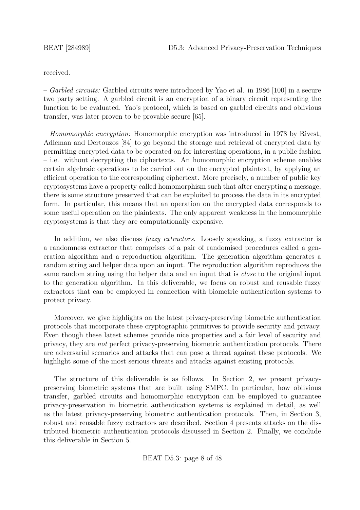received.

– Garbled circuits: Garbled circuits were introduced by Yao et al. in 1986 [\[100\]](#page-47-2) in a secure two party setting. A garbled circuit is an encryption of a binary circuit representing the function to be evaluated. Yao's protocol, which is based on garbled circuits and oblivious transfer, was later proven to be provable secure [\[65\]](#page-44-4).

– Homomorphic encryption: Homomorphic encryption was introduced in 1978 by Rivest, Adleman and Dertouzos [\[84\]](#page-46-4) to go beyond the storage and retrieval of encrypted data by permitting encrypted data to be operated on for interesting operations, in a public fashion – i.e. without decrypting the ciphertexts. An homomorphic encryption scheme enables certain algebraic operations to be carried out on the encrypted plaintext, by applying an efficient operation to the corresponding ciphertext. More precisely, a number of public key cryptosystems have a property called homomorphism such that after encrypting a message, there is some structure preserved that can be exploited to process the data in its encrypted form. In particular, this means that an operation on the encrypted data corresponds to some useful operation on the plaintexts. The only apparent weakness in the homomorphic cryptosystems is that they are computationally expensive.

In addition, we also discuss *fuzzy extractors*. Loosely speaking, a fuzzy extractor is a randomness extractor that comprises of a pair of randomised procedures called a generation algorithm and a reproduction algorithm. The generation algorithm generates a random string and helper data upon an input. The reproduction algorithm reproduces the same random string using the helper data and an input that is *close* to the original input to the generation algorithm. In this deliverable, we focus on robust and reusable fuzzy extractors that can be employed in connection with biometric authentication systems to protect privacy.

Moreover, we give highlights on the latest privacy-preserving biometric authentication protocols that incorporate these cryptographic primitives to provide security and privacy. Even though these latest schemes provide nice properties and a fair level of security and privacy, they are not perfect privacy-preserving biometric authentication protocols. There are adversarial scenarios and attacks that can pose a threat against these protocols. We highlight some of the most serious threats and attacks against existing protocols.

The structure of this deliverable is as follows. In Section 2, we present privacypreserving biometric systems that are built using SMPC. In particular, how oblivious transfer, garbled circuits and homomorphic encryption can be employed to guarantee privacy-preservation in biometric authentication systems is explained in detail, as well as the latest privacy-preserving biometric authentication protocols. Then, in Section 3, robust and reusable fuzzy extractors are described. Section 4 presents attacks on the distributed biometric authentication protocols discussed in Section 2. Finally, we conclude this deliverable in Section 5.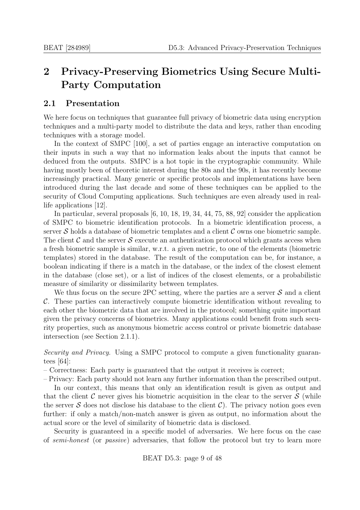# <span id="page-8-0"></span>2 Privacy-Preserving Biometrics Using Secure Multi-Party Computation

## <span id="page-8-1"></span>2.1 Presentation

We here focus on techniques that guarantee full privacy of biometric data using encryption techniques and a multi-party model to distribute the data and keys, rather than encoding techniques with a storage model.

In the context of SMPC [\[100\]](#page-47-2), a set of parties engage an interactive computation on their inputs in such a way that no information leaks about the inputs that cannot be deduced from the outputs. SMPC is a hot topic in the cryptographic community. While having mostly been of theoretic interest during the 80s and the 90s, it has recently become increasingly practical. Many generic or specific protocols and implementations have been introduced during the last decade and some of these techniques can be applied to the security of Cloud Computing applications. Such techniques are even already used in reallife applications [\[12\]](#page-40-3).

In particular, several proposals [\[6,](#page-39-4) [10,](#page-40-4) [18,](#page-40-5) [19,](#page-40-6) [34,](#page-42-3) [44,](#page-42-4) [75,](#page-45-2) [88,](#page-46-5) [92\]](#page-46-6) consider the application of SMPC to biometric identification protocols. In a biometric identification process, a server S holds a database of biometric templates and a client  $\mathcal C$  owns one biometric sample. The client  $\mathcal C$  and the server  $\mathcal S$  execute an authentication protocol which grants access when a fresh biometric sample is similar, w.r.t. a given metric, to one of the elements (biometric templates) stored in the database. The result of the computation can be, for instance, a boolean indicating if there is a match in the database, or the index of the closest element in the database (close set), or a list of indices of the closest elements, or a probabilistic measure of similarity or dissimilarity between templates.

We thus focus on the secure 2PC setting, where the parties are a server  $S$  and a client C. These parties can interactively compute biometric identification without revealing to each other the biometric data that are involved in the protocol; something quite important given the privacy concerns of biometrics. Many applications could benefit from such security properties, such as anonymous biometric access control or private biometric database intersection (see Section [2.1.1\)](#page-9-0).

Security and Privacy. Using a SMPC protocol to compute a given functionality guarantees [\[64\]](#page-44-5):

– Correctness: Each party is guaranteed that the output it receives is correct;

– Privacy: Each party should not learn any further information than the prescribed output.

In our context, this means that only an identification result is given as output and that the client C never gives his biometric acquisition in the clear to the server  $\mathcal S$  (while the server  $S$  does not disclose his database to the client  $C$ ). The privacy notion goes even further: if only a match/non-match answer is given as output, no information about the actual score or the level of similarity of biometric data is disclosed.

Security is guaranteed in a specific model of adversaries. We here focus on the case of semi-honest (or passive) adversaries, that follow the protocol but try to learn more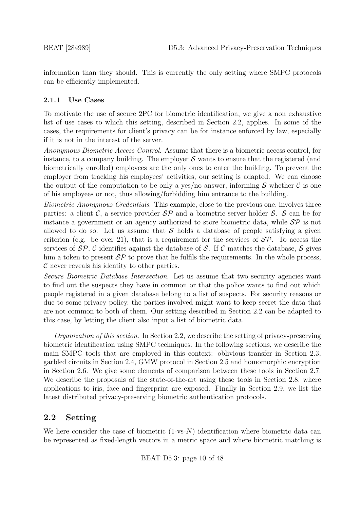information than they should. This is currently the only setting where SMPC protocols can be efficiently implemented.

## <span id="page-9-0"></span>2.1.1 Use Cases

To motivate the use of secure 2PC for biometric identification, we give a non exhaustive list of use cases to which this setting, described in Section [2.2,](#page-9-1) applies. In some of the cases, the requirements for client's privacy can be for instance enforced by law, especially if it is not in the interest of the server.

Anonymous Biometric Access Control. Assume that there is a biometric access control, for instance, to a company building. The employer  $S$  wants to ensure that the registered (and biometrically enrolled) employees are the only ones to enter the building. To prevent the employer from tracking his employees' activities, our setting is adapted. We can choose the output of the computation to be only a yes/no answer, informing  $S$  whether  $C$  is one of his employees or not, thus allowing/forbidding him entrance to the building.

Biometric Anonymous Credentials. This example, close to the previous one, involves three parties: a client C, a service provider  $\mathcal{SP}$  and a biometric server holder S. S can be for instance a government or an agency authorized to store biometric data, while  $\mathcal{SP}$  is not allowed to do so. Let us assume that  $\mathcal S$  holds a database of people satisfying a given criterion (e.g. be over 21), that is a requirement for the services of  $\mathcal{SP}$ . To access the services of  $\mathcal{SP}, \mathcal{C}$  identifies against the database of S. If C matches the database, S gives him a token to present  $\mathcal{S}P$  to prove that he fulfils the requirements. In the whole process,  $\mathcal C$  never reveals his identity to other parties.

Secure Biometric Database Intersection. Let us assume that two security agencies want to find out the suspects they have in common or that the police wants to find out which people registered in a given database belong to a list of suspects. For security reasons or due to some privacy policy, the parties involved might want to keep secret the data that are not common to both of them. Our setting described in Section [2.2](#page-9-1) can be adapted to this case, by letting the client also input a list of biometric data.

Organization of this section. In Section [2.2,](#page-9-1) we describe the setting of privacy-preserving biometric identification using SMPC techniques. In the following sections, we describe the main SMPC tools that are employed in this context: oblivious transfer in Section [2.3,](#page-10-0) garbled circuits in Section [2.4,](#page-11-0) GMW protocol in Section [2.5](#page-15-0) and homomorphic encryption in Section [2.6.](#page-16-0) We give some elements of comparison between these tools in Section [2.7.](#page-18-0) We describe the proposals of the state-of-the-art using these tools in Section [2.8,](#page-19-0) where applications to iris, face and fingerprint are exposed. Finally in Section 2.9, we list the latest distributed privacy-preserving biometric authentication protocols.

## <span id="page-9-1"></span>2.2 Setting

We here consider the case of biometric  $(1-s-N)$  identification where biometric data can be represented as fixed-length vectors in a metric space and where biometric matching is

BEAT D5.3: page 10 of [48](#page-39-0)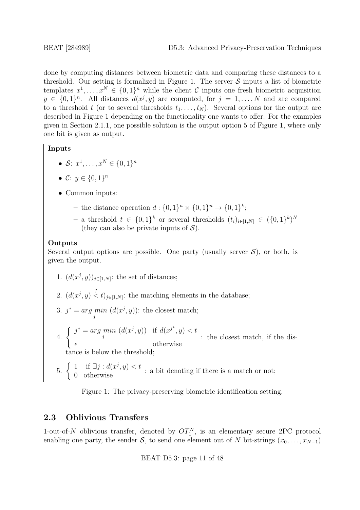done by computing distances between biometric data and comparing these distances to a threshold. Our setting is formalized in Figure [1.](#page-10-1) The server  $S$  inputs a list of biometric templates  $x^1, \ldots, x^N \in \{0,1\}^n$  while the client C inputs one fresh biometric acquisition  $y \in \{0,1\}^n$ . All distances  $d(x^j, y)$  are computed, for  $j = 1, \ldots, N$  and are compared to a threshold t (or to several thresholds  $t_1, \ldots, t_N$ ). Several options for the output are described in Figure [1](#page-10-1) depending on the functionality one wants to offer. For the examples given in Section [2.1.1,](#page-9-0) one possible solution is the output option [5](#page-10-2) of Figure [1,](#page-10-1) where only one bit is given as output.

### Inputs

- $S: x^1, \ldots, x^N \in \{0, 1\}^n$
- $C: y \in \{0,1\}^n$
- Common inputs:
	- the distance operation  $d: \{0,1\}^n \times \{0,1\}^n \to \{0,1\}^k$ ;
	- a threshold  $t \in \{0,1\}^k$  or several thresholds  $(t_i)_{i \in [1,N]}$  ∈  $(\{0,1\}^k)^N$ (they can also be private inputs of  $\mathcal{S}$ ).

#### **Outputs**

Several output options are possible. One party (usually server  $\mathcal{S}$ ), or both, is given the output.

- <span id="page-10-1"></span>1.  $(d(x^j, y))_{j \in [1, N]}$ : the set of distances;
- 2.  $(d(x^j, y) \stackrel{?}{\leq} t)_{j \in [1, N]}$ : the matching elements in the database;
- 3.  $j^* = arg min$ j  $(d(x^j, y))$ : the closest match;

4. 
$$
\begin{cases} j^* = \arg\min_j \left( d(x^j, y) \right) & \text{if } d(x^{j^*}, y) < t \\ \epsilon & \text{otherwise} \end{cases}
$$
: the closest match, if the distance is below the threshold;

<span id="page-10-2"></span>5. 1 if  $\exists j : d(x^j, y) < t$ ; a bit denoting if there is a match or not; 0 otherwise

Figure 1: The privacy-preserving biometric identification setting.

## <span id="page-10-0"></span>2.3 Oblivious Transfers

1-out-of-N oblivious transfer, denoted by  $OT_1^N$ , is an elementary secure 2PC protocol enabling one party, the sender S, to send one element out of N bit-strings  $(x_0, \ldots, x_{N-1})$ 

BEAT D5.3: page 11 of [48](#page-39-0)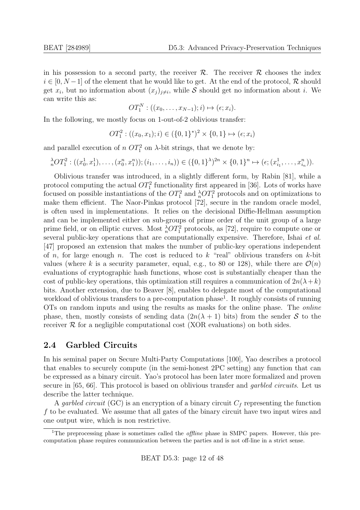in his possession to a second party, the receiver  $\mathcal{R}$ . The receiver  $\mathcal{R}$  chooses the index  $i \in [0, N-1]$  of the element that he would like to get. At the end of the protocol,  $\mathcal{R}$  should get  $x_i$ , but no information about  $(x_j)_{j\neq i}$ , while S should get no information about i. We can write this as:

$$
OT_1^N: ((x_0, \ldots, x_{N-1}); i) \mapsto (\epsilon; x_i).
$$

In the following, we mostly focus on 1-out-of-2 oblivious transfer:

$$
OT_1^2: ((x_0, x_1); i) \in (\{0, 1\}^*)^2 \times \{0, 1\} \mapsto (\epsilon; x_i)
$$

and parallel execution of  $n$   $OT_1^2$  on  $\lambda$ -bit strings, that we denote by:

$$
{}_{n}^{\lambda}OT_{1}^{2}:((x_{0}^{1}, x_{1}^{1}), \ldots, (x_{0}^{n}, x_{1}^{n})); (i_{1}, \ldots, i_{n})) \in (\{0, 1\}^{\lambda})^{2n} \times \{0, 1\}^{n} \mapsto (\epsilon; (x_{i_{1}}^{1}, \ldots, x_{i_{n}}^{n})).
$$

Oblivious transfer was introduced, in a slightly different form, by Rabin [\[81\]](#page-45-3), while a protocol computing the actual  $OT_1^2$  functionality first appeared in [\[36\]](#page-42-5). Lots of works have focused on possible instantiations of the  $OT_1^2$  and  ${}_{n}^{\lambda}OT_1^2$  protocols and on optimizations to make them efficient. The Naor-Pinkas protocol [\[72\]](#page-45-4), secure in the random oracle model, is often used in implementations. It relies on the decisional Diffie-Hellman assumption and can be implemented either on sub-groups of prime order of the unit group of a large prime field, or on elliptic curves. Most  ${}_{n}^{\lambda}OT_{1}^{2}$  protocols, as [\[72\]](#page-45-4), require to compute one or several public-key operations that are computationally expensive. Therefore, Ishai et al. [\[47\]](#page-43-7) proposed an extension that makes the number of public-key operations independent of n, for large enough n. The cost is reduced to k "real" oblivious transfers on k-bit values (where k is a security parameter, equal, e.g., to 80 or 128), while there are  $\mathcal{O}(n)$ evaluations of cryptographic hash functions, whose cost is substantially cheaper than the cost of public-key operations, this optimization still requires a communication of  $2n(\lambda + k)$ bits. Another extension, due to Beaver [\[8\]](#page-39-5), enables to delegate most of the computational workload of oblivious transfers to a pre-computation phase<sup>[1](#page-11-1)</sup>. It roughly consists of running OTs on random inputs and using the results as masks for the online phase. The online phase, then, mostly consists of sending data  $(2n(\lambda + 1)$  bits) from the sender S to the receiver  $\mathcal R$  for a negligible computational cost (XOR evaluations) on both sides.

## <span id="page-11-0"></span>2.4 Garbled Circuits

In his seminal paper on Secure Multi-Party Computations [\[100\]](#page-47-2), Yao describes a protocol that enables to securely compute (in the semi-honest 2PC setting) any function that can be expressed as a binary circuit. Yao's protocol has been later more formalized and proven secure in [\[65,](#page-44-4) [66\]](#page-44-6). This protocol is based on oblivious transfer and *garbled circuits*. Let us describe the latter technique.

A garbled circuit (GC) is an encryption of a binary circuit  $C_f$  representing the function f to be evaluated. We assume that all gates of the binary circuit have two input wires and one output wire, which is non restrictive.

<span id="page-11-1"></span><sup>&</sup>lt;sup>1</sup>The preprocessing phase is sometimes called the *offline* phase in SMPC papers. However, this precomputation phase requires communication between the parties and is not off-line in a strict sense.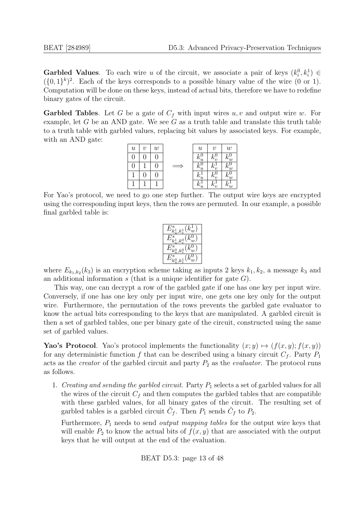**Garbled Values**. To each wire u of the circuit, we associate a pair of keys  $(k_i^0, k_i^1) \in$  $({0,1}^k)^2$ . Each of the keys corresponds to a possible binary value of the wire  $(0 \text{ or } 1)$ . Computation will be done on these keys, instead of actual bits, therefore we have to redefine binary gates of the circuit.

**Garbled Tables**. Let G be a gate of  $C_f$  with input wires  $u, v$  and output wire w. For example, let  $G$  be an AND gate. We see  $G$  as a truth table and translate this truth table to a truth table with garbled values, replacing bit values by associated keys. For example, with an AND gate:



For Yao's protocol, we need to go one step further. The output wire keys are encrypted using the corresponding input keys, then the rows are permuted. In our example, a possible final garbled table is:

| $\kappa^1_w$<br>$\omega_{k_\varepsilon}$<br>$k^1$ |
|---------------------------------------------------|
| $(k^{\mathsf{u}}_w)$<br>$E^s_{k_u^1,k_v^0}$       |
| $k^0$<br>$\mathbb{E}_{k_{u_2}^0}$<br>$k^0$        |
|                                                   |

where  $E_{k_1,k_2}(k_3)$  is an encryption scheme taking as inputs 2 keys  $k_1, k_2$ , a message  $k_3$  and an additional information  $s$  (that is a unique identifier for gate  $G$ ).

This way, one can decrypt a row of the garbled gate if one has one key per input wire. Conversely, if one has one key only per input wire, one gets one key only for the output wire. Furthermore, the permutation of the rows prevents the garbled gate evaluator to know the actual bits corresponding to the keys that are manipulated. A garbled circuit is then a set of garbled tables, one per binary gate of the circuit, constructed using the same set of garbled values.

**Yao's Protocol**. Yao's protocol implements the functionality  $(x; y) \mapsto (f(x, y); f(x, y))$ for any deterministic function f that can be described using a binary circuit  $C_f$ . Party  $P_1$ acts as the *creator* of the garbled circuit and party  $P_2$  as the *evaluator*. The protocol runs as follows.

1. Creating and sending the garbled circuit. Party  $P_1$  selects a set of garbled values for all the wires of the circuit  $C_f$  and then computes the garbled tables that are compatible with these garbled values, for all binary gates of the circuit. The resulting set of garbled tables is a garbled circuit  $\tilde{C}_f$ . Then  $P_1$  sends  $\tilde{C}_f$  to  $P_2$ .

Furthermore,  $P_1$  needs to send *output mapping tables* for the output wire keys that will enable  $P_2$  to know the actual bits of  $f(x, y)$  that are associated with the output keys that he will output at the end of the evaluation.

BEAT D5.3: page 13 of [48](#page-39-0)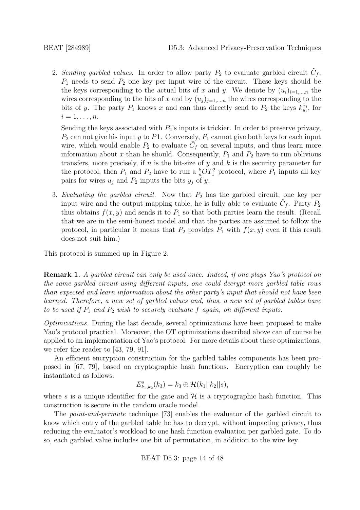2. Sending garbled values. In order to allow party  $P_2$  to evaluate garbled circuit  $\tilde{C}_f$ ,  $P_1$  needs to send  $P_2$  one key per input wire of the circuit. These keys should be the keys corresponding to the actual bits of x and y. We denote by  $(u_i)_{i=1,\dots,n}$  the wires corresponding to the bits of x and by  $(u_j)_{j=1,\dots,n}$  the wires corresponding to the bits of y. The party  $P_1$  knows x and can thus directly send to  $P_2$  the keys  $k_{u_i}^{x_i}$ , for  $i=1,\ldots,n$ .

Sending the keys associated with  $P_2$ 's inputs is trickier. In order to preserve privacy,  $P_2$  can not give his input y to P1. Conversely,  $P_1$  cannot give both keys for each input wire, which would enable  $P_2$  to evaluate  $\tilde{C}_f$  on several inputs, and thus learn more information about x than he should. Consequently,  $P_1$  and  $P_2$  have to run oblivious transfers, more precisely, if  $n$  is the bit-size of  $y$  and  $k$  is the security parameter for the protocol, then  $P_1$  and  $P_2$  have to run a  ${}_{n}^{k}OT_1^2$  protocol, where  $P_1$  inputs all key pairs for wires  $u_j$  and  $P_2$  inputs the bits  $y_j$  of y.

3. Evaluating the garbled circuit. Now that  $P_2$  has the garbled circuit, one key per input wire and the output mapping table, he is fully able to evaluate  $\tilde{C}_f$ . Party  $P_2$ thus obtains  $f(x, y)$  and sends it to  $P_1$  so that both parties learn the result. (Recall that we are in the semi-honest model and that the parties are assumed to follow the protocol, in particular it means that  $P_2$  provides  $P_1$  with  $f(x, y)$  even if this result does not suit him.)

This protocol is summed up in Figure [2.](#page-14-0)

Remark 1. A garbled circuit can only be used once. Indeed, if one plays Yao's protocol on the same garbled circuit using different inputs, one could decrypt more garbled table rows than expected and learn information about the other party's input that should not have been learned. Therefore, a new set of garbled values and, thus, a new set of garbled tables have to be used if  $P_1$  and  $P_2$  wish to securely evaluate f again, on different inputs.

Optimizations. During the last decade, several optimizations have been proposed to make Yao's protocol practical. Moreover, the OT optimizations described above can of course be applied to an implementation of Yao's protocol. For more details about these optimizations, we refer the reader to [\[43,](#page-42-6) [79,](#page-45-5) [91\]](#page-46-7).

An efficient encryption construction for the garbled tables components has been proposed in [\[67,](#page-44-7) [79\]](#page-45-5), based on cryptographic hash functions. Encryption can roughly be instantiated as follows:

$$
E_{k_1,k_2}^s(k_3) = k_3 \oplus \mathcal{H}(k_1||k_2||s),
$$

where s is a unique identifier for the gate and  $\mathcal H$  is a cryptographic hash function. This construction is secure in the random oracle model.

The point-and-permute technique [\[73\]](#page-45-6) enables the evaluator of the garbled circuit to know which entry of the garbled table he has to decrypt, without impacting privacy, thus reducing the evaluator's workload to one hash function evaluation per garbled gate. To do so, each garbled value includes one bit of permutation, in addition to the wire key.

BEAT D5.3: page 14 of [48](#page-39-0)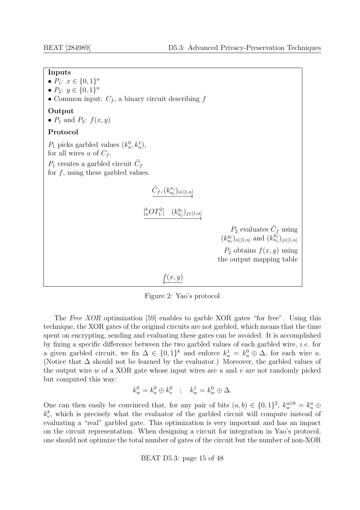Inputs

- $P_1: x \in \{0,1\}^n$
- $P_2: y \in \{0,1\}^n$
- Common input:  $C_f$ , a binary circuit describing  $f$

#### Output

•  $P_1$  and  $P_2$ :  $f(x, y)$ 

## Protocol

 $P_1$  picks garbled values  $(k_u^0, k_u^1)$ ,

- for all wires u of  $C_f$ .
- $P_1$  creates a garbled circuit  $\tilde{C}_f$
- for  $f$ , using these garbled values.

$$
\underbrace{\tilde{C}_f, (k_{u_i}^{x_i})_{i \in [1,n]}}_{\textcolor{red}{\rightarrow}}
$$

$$
\xrightarrow{[{}^k_0 O T^2_1] \quad (k_{u_j}^{y_j})_{j \in [1,n]}} \xrightarrow{[k]^{k}
$$

<span id="page-14-0"></span> $P_2$  evaluates  $\tilde{C}_f$  using  $(k_{u_i}^{y_i})_{i \in [1,n]}$  and  $(k_{u_j}^{y_j})_{j \in [1,n]}$  $P_2$  obtains  $f(x, y)$  using the output mapping table

$$
\underleftarrow{f(x,y)}
$$

Figure 2: Yao's protocol

The Free XOR optimization [\[59\]](#page-44-8) enables to garble XOR gates "for free". Using this technique, the XOR gates of the original circuits are not garbled, which means that the time spent on encrypting, sending and evaluating these gates can be avoided. It is accomplished by fixing a specific difference between the two garbled values of each garbled wire, i.e. for a given garbled circuit, we fix  $\Delta \in \{0,1\}^k$  and enforce  $k_u^1 = k_u^0 \oplus \Delta$ , for each wire u. (Notice that  $\Delta$  should not be learned by the evaluator.) Moreover, the garbled values of the output wire w of a XOR gate whose input wires are u and v are not randomly picked but computed this way:

$$
k_w^0 = k_u^0 \oplus k_v^0 \quad ; \quad k_w^1 = k_w^0 \oplus \Delta.
$$

One can then easily be convinced that, for any pair of bits  $(a, b) \in \{0, 1\}^2$ ,  $k_w^{a \oplus b} = k_u^a \oplus k_v^b$  $k_v^b$ , which is precisely what the evaluator of the garbled circuit will compute instead of evaluating a "real" garbled gate. This optimization is very important and has an impact on the circuit representation. When designing a circuit for integration in Yao's protocol, one should not optimize the total number of gates of the circuit but the number of non-XOR

### BEAT D5.3: page 15 of [48](#page-39-0)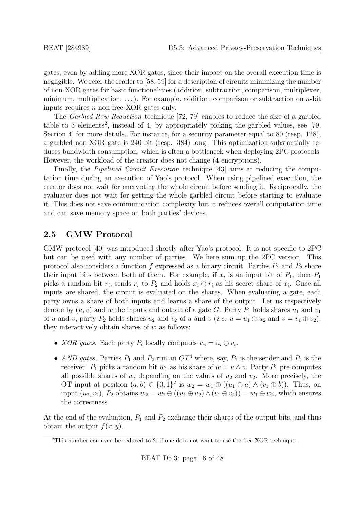gates, even by adding more XOR gates, since their impact on the overall execution time is negligible. We refer the reader to [\[58,](#page-43-8) [59\]](#page-44-8) for a description of circuits minimizing the number of non-XOR gates for basic functionalities (addition, subtraction, comparison, multiplexer, minimum, multiplication,  $\dots$ ). For example, addition, comparison or subtraction on *n*-bit inputs requires n non-free XOR gates only.

The Garbled Row Reduction technique [\[72,](#page-45-4) [79\]](#page-45-5) enables to reduce the size of a garbled table to 3 elements<sup>[2](#page-15-1)</sup>, instead of 4, by appropriately picking the garbled values, see  $[79,$ Section 4 for more details. For instance, for a security parameter equal to 80 (resp. 128), a garbled non-XOR gate is 240-bit (resp. 384) long. This optimization substantially reduces bandwidth consumption, which is often a bottleneck when deploying 2PC protocols. However, the workload of the creator does not change (4 encryptions).

Finally, the *Pipelined Circuit Execution* technique [\[43\]](#page-42-6) aims at reducing the computation time during an execution of Yao's protocol. When using pipelined execution, the creator does not wait for encrypting the whole circuit before sending it. Reciprocally, the evaluator does not wait for getting the whole garbled circuit before starting to evaluate it. This does not save communication complexity but it reduces overall computation time and can save memory space on both parties' devices.

## <span id="page-15-0"></span>2.5 GMW Protocol

GMW protocol [\[40\]](#page-42-2) was introduced shortly after Yao's protocol. It is not specific to 2PC but can be used with any number of parties. We here sum up the 2PC version. This protocol also considers a function f expressed as a binary circuit. Parties  $P_1$  and  $P_2$  share their input bits between both of them. For example, if  $x_i$  is an input bit of  $P_1$ , then  $P_1$ picks a random bit  $r_i$ , sends  $r_i$  to  $P_2$  and holds  $x_i \oplus r_i$  as his secret share of  $x_i$ . Once all inputs are shared, the circuit is evaluated on the shares. When evaluating a gate, each party owns a share of both inputs and learns a share of the output. Let us respectively denote by  $(u, v)$  and w the inputs and output of a gate G. Party  $P_1$  holds shares  $u_1$  and  $v_1$ of u and v, party  $P_2$  holds shares  $u_2$  and  $v_2$  of u and v (i.e.  $u = u_1 \oplus u_2$  and  $v = v_1 \oplus v_2$ ); they interactively obtain shares of  $w$  as follows:

- *XOR gates.* Each party  $P_i$  locally computes  $w_i = u_i \oplus v_i$ .
- AND gates. Parties  $P_1$  and  $P_2$  run an  $OT_1^4$  where, say,  $P_1$  is the sender and  $P_2$  is the receiver. P<sub>1</sub> picks a random bit w<sub>1</sub> as his share of  $w = u \wedge v$ . Party P<sub>1</sub> pre-computes all possible shares of w, depending on the values of  $u_2$  and  $v_2$ . More precisely, the OT input at position  $(a, b) \in \{0, 1\}^2$  is  $w_2 = w_1 \oplus ((u_1 \oplus a) \wedge (v_1 \oplus b))$ . Thus, on input  $(u_2, v_2)$ ,  $P_2$  obtains  $w_2 = w_1 \oplus ((u_1 \oplus u_2) \wedge (v_1 \oplus v_2)) = w_1 \oplus w_2$ , which ensures the correctness.

At the end of the evaluation,  $P_1$  and  $P_2$  exchange their shares of the output bits, and thus obtain the output  $f(x, y)$ .

<span id="page-15-1"></span><sup>&</sup>lt;sup>2</sup>This number can even be reduced to 2, if one does not want to use the free XOR technique.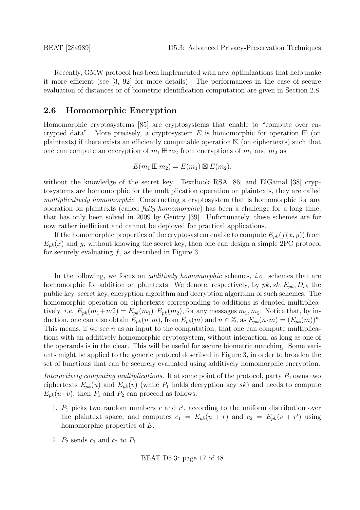Recently, GMW protocol has been implemented with new optimizations that help make it more efficient (see [\[3,](#page-39-6) [92\]](#page-46-6) for more details). The performances in the case of secure evaluation of distances or of biometric identification computation are given in Section [2.8.](#page-19-0)

## <span id="page-16-0"></span>2.6 Homomorphic Encryption

Homomorphic cryptosystems [\[85\]](#page-46-8) are cryptosystems that enable to "compute over encrypted data". More precisely, a cryptosystem E is homomorphic for operation  $\boxplus$  (on plaintexts) if there exists an efficiently computable operation  $\boxtimes$  (on ciphertexts) such that one can compute an encryption of  $m_1 \boxplus m_2$  from encryptions of  $m_1$  and  $m_2$  as

$$
E(m_1 \boxplus m_2) = E(m_1) \boxtimes E(m_2),
$$

without the knowledge of the secret key. Textbook RSA [\[86\]](#page-46-9) and ElGamal [\[38\]](#page-42-7) cryptosystems are homomorphic for the multiplication operation on plaintexts, they are called multiplicatively homomorphic. Constructing a cryptosystem that is homomorphic for any operation on plaintexts (called fully homomorphic) has been a challenge for a long time, that has only been solved in 2009 by Gentry [\[39\]](#page-42-8). Unfortunately, these schemes are for now rather inefficient and cannot be deployed for practical applications.

If the homomorphic properties of the cryptosystem enable to compute  $E_{pk}(f(x, y))$  from  $E_{pk}(x)$  and y, without knowing the secret key, then one can design a simple 2PC protocol for securely evaluating  $f$ , as described in Figure [3.](#page-17-0)

In the following, we focus on *additively homomorphic* schemes, *i.e.* schemes that are homomorphic for addition on plaintexts. We denote, respectively, by  $pk, sk, E_{pk}, D_{sk}$  the public key, secret key, encryption algorithm and decryption algorithm of such schemes. The homomorphic operation on ciphertexts corresponding to additions is denoted multiplicatively, *i.e.*  $E_{pk}(m_1+m_2) = E_{pk}(m_1) \cdot E_{pk}(m_2)$ , for any messages  $m_1, m_2$ . Notice that, by induction, one can also obtain  $E_{pk}(n \cdot m)$ , from  $E_{pk}(m)$  and  $n \in \mathbb{Z}$ , as  $E_{pk}(n \cdot m) = (E_{pk}(m))^{n}$ . This means, if we see  $n$  as an input to the computation, that one can compute multiplications with an additively homomorphic cryptosystem, without interaction, as long as one of the operands is in the clear. This will be useful for secure biometric matching. Some variants might be applied to the generic protocol described in Figure [3,](#page-17-0) in order to broaden the set of functions that can be securely evaluated using additively homomorphic encryption.

Interactively computing multiplications. If at some point of the protocol, party  $P_2$  owns two ciphertexts  $E_{pk}(u)$  and  $E_{pk}(v)$  (while  $P_1$  holds decryption key sk) and needs to compute  $E_{pk}(u \cdot v)$ , then  $P_1$  and  $P_2$  can proceed as follows:

- 1.  $P_1$  picks two random numbers r and r', according to the uniform distribution over the plaintext space, and computes  $c_1 = E_{pk}(u + r)$  and  $c_2 = E_{pk}(v + r')$  using homomorphic properties of E.
- 2.  $P_2$  sends  $c_1$  and  $c_2$  to  $P_1$ .

BEAT D5.3: page 17 of [48](#page-39-0)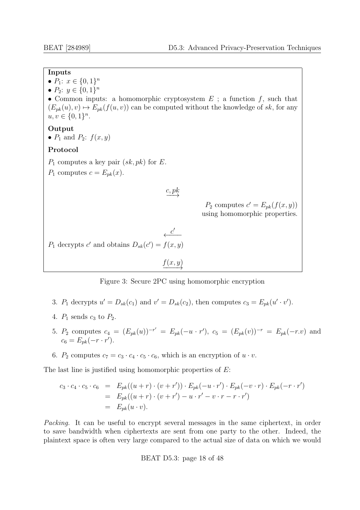#### Inputs

- $P_1: x \in \{0,1\}^n$
- $P_2: y \in \{0,1\}^n$

• Common inputs: a homomorphic cryptosystem  $E$ ; a function  $f$ , such that  $(E_{pk}(u), v) \mapsto E_{pk}(f(u, v))$  can be computed without the knowledge of sk, for any  $u, v \in \{0, 1\}^n$ .

#### Output

•  $P_1$  and  $P_2$ :  $f(x, y)$ 

## Protocol

 $P_1$  computes a key pair  $(sk, pk)$  for E.

 $P_1$  computes  $c = E_{pk}(x)$ .

$$
\xrightarrow{c, pk}
$$

<span id="page-17-0"></span> $P_2$  computes  $c' = E_{pk}(f(x, y))$ using homomorphic properties.

$$
P_1 \text{ decrypts } c' \text{ and obtains } D_{sk}(c') = f(x,y)
$$

 $f(x, y)$  $\longrightarrow$ 

Figure 3: Secure 2PC using homomorphic encryption

- 3.  $P_1$  decrypts  $u' = D_{sk}(c_1)$  and  $v' = D_{sk}(c_2)$ , then computes  $c_3 = E_{pk}(u' \cdot v')$ .
- 4.  $P_1$  sends  $c_3$  to  $P_2$ .
- 5.  $P_2$  computes  $c_4 = (E_{pk}(u))^{-r'} = E_{pk}(-u \cdot r'), c_5 = (E_{pk}(v))^{-r} = E_{pk}(-r.v)$  and  $c_6 = E_{pk}(-r \cdot r').$
- 6.  $P_2$  computes  $c_7 = c_3 \cdot c_4 \cdot c_5 \cdot c_6$ , which is an encryption of  $u \cdot v$ .

The last line is justified using homomorphic properties of E:

$$
c_3 \cdot c_4 \cdot c_5 \cdot c_6 = E_{pk}((u+r) \cdot (v+r')) \cdot E_{pk}(-u \cdot r') \cdot E_{pk}(-v \cdot r) \cdot E_{pk}(-r \cdot r')
$$
  
=  $E_{pk}((u+r) \cdot (v+r') - u \cdot r' - v \cdot r - r \cdot r')$   
=  $E_{pk}(u \cdot v)$ .

Packing. It can be useful to encrypt several messages in the same ciphertext, in order to save bandwidth when ciphertexts are sent from one party to the other. Indeed, the plaintext space is often very large compared to the actual size of data on which we would

BEAT D5.3: page 18 of [48](#page-39-0)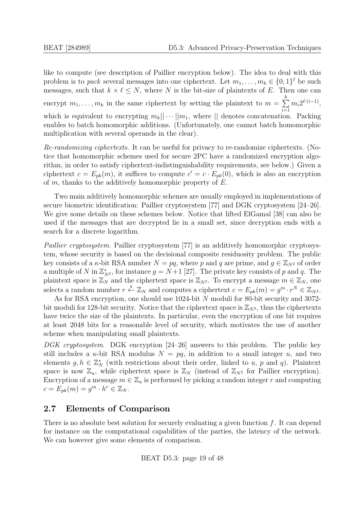like to compute (see description of Paillier encryption below). The idea to deal with this problem is to *pack* several messages into one ciphertext. Let  $m_1, \ldots, m_k \in \{0,1\}^{\ell}$  be such messages, such that  $k \times \ell \leq N$ , where N is the bit-size of plaintexts of E. Then one can encrypt  $m_1, \ldots, m_k$  in the same ciphertext by setting the plaintext to  $m = \sum_{k=1}^{k}$  $i=1$  $m_i 2^{\ell \cdot (i-1)},$ which is equivalent to encrypting  $m_k||\cdots||m_1$ , where  $||$  denotes concatenation. Packing enables to batch homomorphic additions. (Unfortunately, one cannot batch homomorphic multiplication with several operands in the clear).

Re-randomizing ciphertexts. It can be useful for privacy to re-randomize ciphertexts. (Notice that homomorphic schemes used for secure 2PC have a randomized encryption algorithm, in order to satisfy ciphertext-indistinguishability requirements, see below.) Given a ciphertext  $c = E_{pk}(m)$ , it suffices to compute  $c' = c \cdot E_{pk}(0)$ , which is also an encryption of  $m$ , thanks to the additively homomorphic property of  $E$ .

Two main additively homomorphic schemes are usually employed in implementations of secure biometric identification: Paillier cryptosystem [\[77\]](#page-45-7) and DGK cryptosystem [\[24–](#page-41-2)[26\]](#page-41-3). We give some details on these schemes below. Notice that lifted ElGamal [\[38\]](#page-42-7) can also be used if the messages that are decrypted lie in a small set, since decryption ends with a search for a discrete logarithm.

Paillier cryptosystem. Paillier cryptosystem [\[77\]](#page-45-7) is an additively homomorphic cryptosystem, whose security is based on the decisional composite residuosity problem. The public key consists of a  $\kappa$ -bit RSA number  $N = pq$ , where p and q are prime, and  $q \in \mathbb{Z}_{N^2}$  of order a multiple of N in  $\mathbb{Z}_{N^2}^*$ , for instance  $g = N+1$  [\[27\]](#page-41-4). The private key consists of p and q. The plaintext space is  $\mathbb{Z}_N$  and the ciphertext space is  $\mathbb{Z}_{N^2}$ . To encrypt a message  $m \in \mathbb{Z}_N$ , one selects a random number  $r \stackrel{s}{\leftarrow} \mathbb{Z}_N$  and computes a ciphertext  $c = E_{pk}(m) = g^m \cdot r^N \in \mathbb{Z}_{N^2}$ .

As for RSA encryption, one should use 1024-bit N moduli for 80-bit security and 3072bit moduli for 128-bit security. Notice that the ciphertext space is  $\mathbb{Z}_{N^2}$ , thus the ciphertexts have twice the size of the plaintexts. In particular, even the encryption of one bit requires at least 2048 bits for a reasonable level of security, which motivates the use of another scheme when manipulating small plaintexts.

DGK cryptosystem. DGK encryption [\[24–](#page-41-2)[26\]](#page-41-3) answers to this problem. The public key still includes a  $\kappa$ -bit RSA modulus  $N = pq$ , in addition to a small integer u, and two elements  $g, h \in \mathbb{Z}_N^*$  (with restrictions about their order, linked to u, p and q). Plaintext space is now  $\mathbb{Z}_u$ , while ciphertext space is  $\mathbb{Z}_N$  (instead of  $\mathbb{Z}_{N^2}$  for Paillier encryption). Encryption of a message  $m \in \mathbb{Z}_u$  is performed by picking a random integer r and computing  $c = E_{pk}(m) = g^m \cdot h^r \in \mathbb{Z}_N$ .

## <span id="page-18-0"></span>2.7 Elements of Comparison

There is no absolute best solution for securely evaluating a given function f. It can depend for instance on the computational capabilities of the parties, the latency of the network. We can however give some elements of comparison.

BEAT D5.3: page 19 of [48](#page-39-0)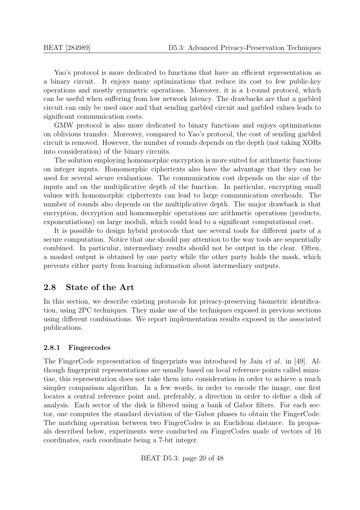Yao's protocol is more dedicated to functions that have an efficient representation as a binary circuit. It enjoys many optimizations that reduce its cost to few public-key operations and mostly symmetric operations. Moreover, it is a 1-round protocol, which can be useful when suffering from low network latency. The drawbacks are that a garbled circuit can only be used once and that sending garbled circuit and garbled values leads to significant communication costs.

GMW protocol is also more dedicated to binary functions and enjoys optimizations on oblivious transfer. Moreover, compared to Yao's protocol, the cost of sending garbled circuit is removed. However, the number of rounds depends on the depth (not taking XORs into consideration) of the binary circuits.

The solution employing homomorphic encryption is more suited for arithmetic functions on integer inputs. Homomorphic ciphertexts also have the advantage that they can be used for several secure evaluations. The communication cost depends on the size of the inputs and on the multiplicative depth of the function. In particular, encrypting small values with homomorphic ciphertexts can lead to large communication overheads. The number of rounds also depends on the multiplicative depth. The major drawback is that encryption, decryption and homomorphic operations are arithmetic operations (products, exponentiations) on large moduli, which could lead to a significant computational cost.

It is possible to design hybrid protocols that use several tools for different parts of a secure computation. Notice that one should pay attention to the way tools are sequentially combined. In particular, intermediary results should not be output in the clear. Often, a masked output is obtained by one party while the other party holds the mask, which prevents either party from learning information about intermediary outputs.

## <span id="page-19-0"></span>2.8 State of the Art

In this section, we describe existing protocols for privacy-preserving biometric identification, using 2PC techniques. They make use of the techniques exposed in previous sections using different combinations. We report implementation results exposed in the associated publications.

#### <span id="page-19-1"></span>2.8.1 Fingercodes

The FingerCode representation of fingerprints was introduced by Jain *et al.* in [\[49\]](#page-43-9). Although fingerprint representations are usually based on local reference points called minutiae, this representation does not take them into consideration in order to achieve a much simpler comparison algorithm. In a few words, in order to encode the image, one first locates a central reference point and, preferably, a direction in order to define a disk of analysis. Each sector of the disk is filtered using a bank of Gabor filters. For each sector, one computes the standard deviation of the Gabor phases to obtain the FingerCode. The matching operation between two FingerCodes is an Euclidean distance. In proposals described below, experiments were conducted on FingerCodes made of vectors of 16 coordinates, each coordinate being a 7-bit integer.

BEAT D5.3: page 20 of [48](#page-39-0)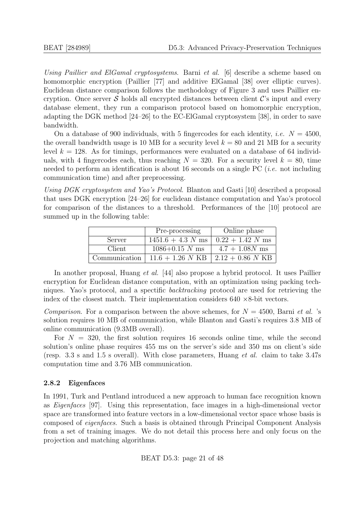Using Paillier and ElGamal cryptosystems. Barni et al. [\[6\]](#page-39-4) describe a scheme based on homomorphic encryption (Paillier [\[77\]](#page-45-7) and additive ElGamal [\[38\]](#page-42-7) over elliptic curves). Euclidean distance comparison follows the methodology of Figure [3](#page-17-0) and uses Paillier encryption. Once server S holds all encrypted distances between client  $\mathcal{C}$ 's input and every database element, they run a comparison protocol based on homomorphic encryption, adapting the DGK method [\[24](#page-41-2)[–26\]](#page-41-3) to the EC-ElGamal cryptosystem [\[38\]](#page-42-7), in order to save bandwidth.

On a database of 900 individuals, with 5 fingercodes for each identity, *i.e.*  $N = 4500$ , the overall bandwidth usage is 10 MB for a security level  $k = 80$  and 21 MB for a security level  $k = 128$ . As for timings, performances were evaluated on a database of 64 individuals, with 4 fingercodes each, thus reaching  $N = 320$ . For a security level  $k = 80$ , time needed to perform an identification is about 16 seconds on a single PC (i.e. not including communication time) and after preprocessing.

Using DGK cryptosystem and Yao's Protocol. Blanton and Gasti [\[10\]](#page-40-4) described a proposal that uses DGK encryption [\[24–](#page-41-2)[26\]](#page-41-3) for euclidean distance computation and Yao's protocol for comparison of the distances to a threshold. Performances of the [\[10\]](#page-40-4) protocol are summed up in the following table:

|               | Pre-processing      | Online phase       |
|---------------|---------------------|--------------------|
| Server        | $1451.6 + 4.3 N$ ms | $0.22 + 1.42 N$ ms |
| Client        | $1086 + 0.15$ N ms  | $4.7 + 1.08N$ ms   |
| Communication | $11.6 + 1.26$ N KB  | $2.12 + 0.86$ N KB |

In another proposal, Huang et al. [\[44\]](#page-42-4) also propose a hybrid protocol. It uses Paillier encryption for Euclidean distance computation, with an optimization using packing techniques. Yao's protocol, and a spectific backtracking protocol are used for retrieving the index of the closest match. Their implementation considers  $640 \times 8$ -bit vectors.

*Comparison.* For a comparison between the above schemes, for  $N = 4500$ , Barni *et al.* 's solution requires 10 MB of communication, while Blanton and Gasti's requires 3.8 MB of online communication (9.3MB overall).

For  $N = 320$ , the first solution requires 16 seconds online time, while the second solution's online phase requires 455 ms on the server's side and 350 ms on client's side (resp. 3.3 s and 1.5 s overall). With close parameters, Huang et al. claim to take 3.47s computation time and 3.76 MB communication.

## <span id="page-20-0"></span>2.8.2 Eigenfaces

In 1991, Turk and Pentland introduced a new approach to human face recognition known as Eigenfaces [\[97\]](#page-47-3). Using this representation, face images in a high-dimensional vector space are transformed into feature vectors in a low-dimensional vector space whose basis is composed of eigenfaces. Such a basis is obtained through Principal Component Analysis from a set of training images. We do not detail this process here and only focus on the projection and matching algorithms.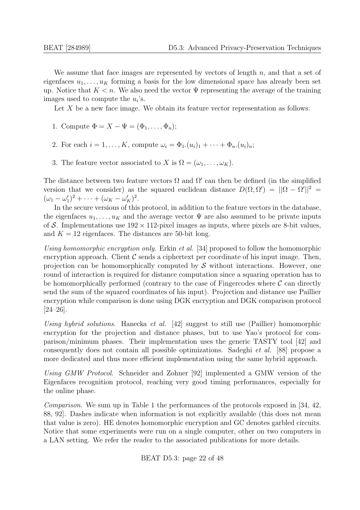We assume that face images are represented by vectors of length  $n$ , and that a set of eigenfaces  $u_1, \ldots, u_K$  forming a basis for the low dimensional space has already been set up. Notice that  $K < n$ . We also need the vector  $\Psi$  representing the average of the training images used to compute the  $u_i$ 's.

Let  $X$  be a new face image. We obtain its feature vector representation as follows:

- 1. Compute  $\Phi = X \Psi = (\Phi_1, \dots, \Phi_n);$
- 2. For each  $i = 1, ..., K$ , compute  $\omega_i = \Phi_1.(u_i)_1 + \cdots + \Phi_n.(u_i)_n;$
- 3. The feature vector associated to X is  $\Omega = (\omega_1, \ldots, \omega_K)$ .

The distance between two feature vectors  $\Omega$  and  $\Omega'$  can then be defined (in the simplified version that we consider) as the squared euclidean distance  $D(\Omega, \Omega') = ||\Omega - \Omega'||^2 =$  $(\omega_1 - \omega'_1)^2 + \cdots + (\omega_K - \omega'_K)^2$ .

In the secure versions of this protocol, in addition to the feature vectors in the database, the eigenfaces  $u_1, \ldots, u_K$  and the average vector  $\Psi$  are also assumed to be private inputs of S. Implementations use  $192 \times 112$ -pixel images as inputs, where pixels are 8-bit values, and  $K = 12$  eigenfaces. The distances are 50-bit long.

Using homomorphic encryption only. Erkin et al. [\[34\]](#page-42-3) proposed to follow the homomorphic encryption approach. Client  $\mathcal C$  sends a ciphertext per coordinate of his input image. Then, projection can be homomorphically computed by  $\mathcal S$  without interactions. However, one round of interaction is required for distance computation since a squaring operation has to be homomorphically performed (contrary to the case of Fingercodes where  $\mathcal C$  can directly send the sum of the squared coordinates of his input). Projection and distance use Paillier encryption while comparison is done using DGK encryption and DGK comparison protocol [\[24–](#page-41-2)[26\]](#page-41-3).

Using hybrid solutions. Hanecka et al.  $[42]$  suggest to still use (Paillier) homomorphic encryption for the projection and distance phases, but to use Yao's protocol for comparison/minimum phases. Their implementation uses the generic TASTY tool [\[42\]](#page-42-9) and consequently does not contain all possible optimizations. Sadeghi et al. [\[88\]](#page-46-5) propose a more dedicated and thus more efficient implementation using the same hybrid approach.

Using GMW Protocol. Schneider and Zohner [\[92\]](#page-46-6) implemented a GMW version of the Eigenfaces recognition protocol, reaching very good timing performances, especially for the online phase.

Comparison. We sum up in Table [1](#page-22-1) the performances of the protocols exposed in [\[34,](#page-42-3) [42,](#page-42-9) [88,](#page-46-5) [92\]](#page-46-6). Dashes indicate when information is not explicitly available (this does not mean that value is zero). HE denotes homomorphic encryption and GC denotes garbled circuits. Notice that some experiments were run on a single computer, other on two computers in a LAN setting. We refer the reader to the associated publications for more details.

BEAT D5.3: page 22 of [48](#page-39-0)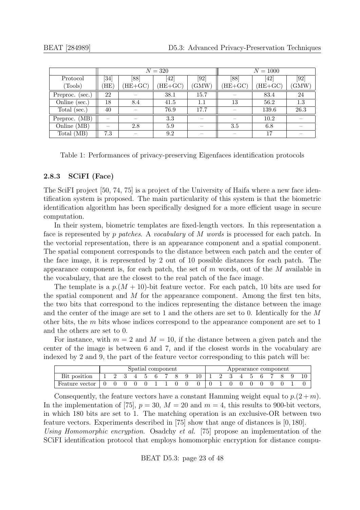|                    |      |         | $N = 320$ | $N = 1000$ |         |         |                    |  |
|--------------------|------|---------|-----------|------------|---------|---------|--------------------|--|
| Protocol           | [34] | [88]    | 42        | [92]       | [88]    | 421     | $\left[ 92\right]$ |  |
| (Tools)            | HE)  | $HE+GC$ | $HE+GC$ ) | (GMW)      | $HE+GC$ | $HE+GC$ | (GMW               |  |
| Preproc.<br>(sec.) | 22   |         | 38.1      | 15.7       |         | 83.4    | 24                 |  |
| Online (sec.)      | 18   | 8.4     | 41.5      | $1.1\,$    | 13      | 56.2    | 1.3                |  |
| Total (sec.)       | 40   |         | 76.9      | 17.7       |         | 139.6   | 26.3               |  |
| (MB)<br>Preproc.   |      |         | 3.3       |            |         | 10.2    |                    |  |
| Online (MB)        |      | 2.8     | 5.9       |            | 3.5     | 6.8     |                    |  |
| Total (MB)         | 7.3  |         | 9.2       |            |         | 17      |                    |  |

<span id="page-22-1"></span>Table 1: Performances of privacy-preserving Eigenfaces identification protocols

## <span id="page-22-0"></span>2.8.3 SCiFI (Face)

The SciFI project [\[50,](#page-43-10) [74,](#page-45-8) [75\]](#page-45-2) is a project of the University of Haifa where a new face identification system is proposed. The main particularity of this system is that the biometric identification algorithm has been specifically designed for a more efficient usage in secure computation.

In their system, biometric templates are fixed-length vectors. In this representation a face is represented by p patches. A vocabulary of M words is processed for each patch. In the vectorial representation, there is an appearance component and a spatial component. The spatial component corresponds to the distance between each patch and the center of the face image, it is represented by 2 out of 10 possible distances for each patch. The appearance component is, for each patch, the set of  $m$  words, out of the  $M$  available in the vocabulary, that are the closest to the real patch of the face image.

The template is a  $p.(M + 10)$ -bit feature vector. For each patch, 10 bits are used for the spatial component and  $M$  for the appearance component. Among the first ten bits, the two bits that correspond to the indices representing the distance between the image and the center of the image are set to 1 and the others are set to 0. Identically for the M other bits, the m bits whose indices correspond to the appearance component are set to 1 and the others are set to 0.

For instance, with  $m = 2$  and  $M = 10$ , if the distance between a given patch and the center of the image is between 6 and 7, and if the closest words in the vocabulary are indexed by 2 and 9, the part of the feature vector corresponding to this patch will be:

|                           |  | Spatial component |  |  |  |  |  |  | Appearance component |  |  |
|---------------------------|--|-------------------|--|--|--|--|--|--|----------------------|--|--|
| B <sub>1</sub> t position |  |                   |  |  |  |  |  |  |                      |  |  |
| Feature vector            |  |                   |  |  |  |  |  |  |                      |  |  |

Consequently, the feature vectors have a constant Hamming weight equal to  $p.(2+m)$ . In the implementation of [\[75\]](#page-45-2),  $p = 30$ ,  $M = 20$  and  $m = 4$ , this results to 900-bit vectors, in which 180 bits are set to 1. The matching operation is an exclusive-OR between two feature vectors. Experiments described in [\[75\]](#page-45-2) show that ange of distances is [0, 180]. Using Homomorphic encryption. Osadchy et al. [\[75\]](#page-45-2) propose an implementation of the SCiFI identification protocol that employs homomorphic encryption for distance compu-

BEAT D5.3: page 23 of [48](#page-39-0)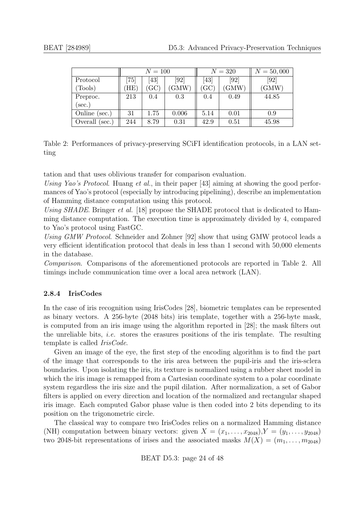|                 |                    | $N = 100$ |       |                              | $N=320$ | $N = 50,000$ |
|-----------------|--------------------|-----------|-------|------------------------------|---------|--------------|
| Protocol        | $\left[ 75\right]$ | [43]      | [92]  | [43]                         | [92]    | [92]         |
| (Tools)         | HE)                | 'GC)      | 'GMW  | $\left( \mathrm{GC} \right)$ | (GMW)   | (GMW)        |
| Preproc.        | 213                | 0.4       | 0.3   | 0.4                          | 0.49    | 44.85        |
| $(\sec.)$       |                    |           |       |                              |         |              |
| Online (sec.)   | 31                 | 1.75      | 0.006 | 5.14                         | 0.01    | 0.9          |
| Overall<br>sec. | 244                | 8.79      | 0.31  | 42.9                         | 0.51    | 45.98        |

<span id="page-23-1"></span>Table 2: Performances of privacy-preserving SCiFI identification protocols, in a LAN setting

tation and that uses oblivious transfer for comparison evaluation.

Using Yao's Protocol. Huang et al., in their paper [\[43\]](#page-42-6) aiming at showing the good performances of Yao's protocol (especially by introducing pipelining), describe an implementation of Hamming distance computation using this protocol.

Using SHADE. Bringer et al. [\[18\]](#page-40-5) propose the SHADE protocol that is dedicated to Hamming distance computation. The execution time is approximately divided by 4, compared to Yao's protocol using FastGC.

Using GMW Protocol. Schneider and Zohner [\[92\]](#page-46-6) show that using GMW protocol leads a very efficient identification protocol that deals in less than 1 second with 50,000 elements in the database.

Comparison. Comparisons of the aforementioned protocols are reported in Table [2.](#page-23-1) All timings include communication time over a local area network (LAN).

## <span id="page-23-0"></span>2.8.4 IrisCodes

In the case of iris recognition using IrisCodes [\[28\]](#page-41-5), biometric templates can be represented as binary vectors. A 256-byte (2048 bits) iris template, together with a 256-byte mask, is computed from an iris image using the algorithm reported in [\[28\]](#page-41-5); the mask filters out the unreliable bits, *i.e.* stores the erasures positions of the iris template. The resulting template is called IrisCode.

Given an image of the eye, the first step of the encoding algorithm is to find the part of the image that corresponds to the iris area between the pupil-iris and the iris-sclera boundaries. Upon isolating the iris, its texture is normalized using a rubber sheet model in which the iris image is remapped from a Cartesian coordinate system to a polar coordinate system regardless the iris size and the pupil dilation. After normalization, a set of Gabor filters is applied on every direction and location of the normalized and rectangular shaped iris image. Each computed Gabor phase value is then coded into 2 bits depending to its position on the trigonometric circle.

The classical way to compare two IrisCodes relies on a normalized Hamming distance (NH) computation between binary vectors: given  $X = (x_1, \ldots, x_{2048}), Y = (y_1, \ldots, y_{2048})$ two 2048-bit representations of irises and the associated masks  $M(X) = (m_1, \ldots, m_{2048})$ 

BEAT D5.3: page 24 of [48](#page-39-0)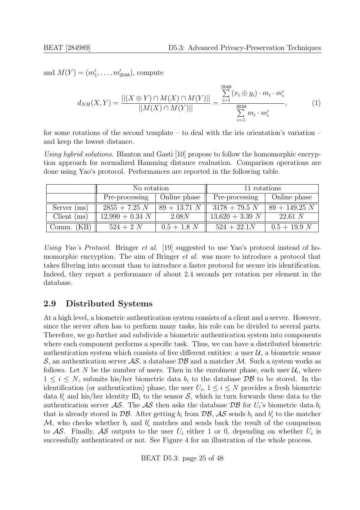and  $M(Y) = (m'_1, \ldots, m'_{2048})$ , compute

$$
d_{NH}(X,Y) = \frac{||(X \oplus Y) \cap M(X) \cap M(Y)||}{||M(X) \cap M(Y)||} = \frac{\sum_{i=1}^{2048} (x_i \oplus y_i) \cdot m_i \cdot m'_i}{\sum_{i=1}^{2048} m_i \cdot m'_i},
$$
(1)

for some rotations of the second template – to deal with the iris orientation's variation – and keep the lowest distance.

Using hybrid solutions. Blanton and Gasti [\[10\]](#page-40-4) propose to follow the homomorphic encryption approach for normalized Hamming distance evaluation. Comparison operations are done using Yao's protocol. Performances are reported in the following table.

|               | No rotation       |                | 11 rotations      |                 |  |  |  |  |
|---------------|-------------------|----------------|-------------------|-----------------|--|--|--|--|
|               | Pre-processing    | Online phase   | Pre-processing    | Online phase    |  |  |  |  |
| Server (ms)   | $2855 + 7.25 N$   | $89 + 13.71 N$ | $3178 + 79.5 N$   | $89 + 149.25 N$ |  |  |  |  |
| Client $(ms)$ | $12,990 + 0.34 N$ | 2.08N          | $13,620 + 3.39 N$ | 22.61 N         |  |  |  |  |
| Comm. $(KB)$  | $524 + 2 N$       | $0.5 + 1.8 N$  | $524 + 22.1N$     | $0.5 + 19.9 N$  |  |  |  |  |

Using Yao's Protocol. Bringer et al. [\[19\]](#page-40-6) suggested to use Yao's protocol instead of homomorphic encryption. The aim of Bringer *et al.* was more to introduce a protocol that takes filtering into account than to introduce a faster protocol for secure iris identification. Indeed, they report a performance of about 2.4 seconds per rotation per element in the database.

## <span id="page-24-0"></span>2.9 Distributed Systems

At a high level, a biometric authentication system consists of a client and a server. However, since the server often has to perform many tasks, his role can be divided to several parts. Therefore, we go further and subdivide a biometric authentication system into components where each component performs a specific task. Thus, we can have a distributed biometric authentication system which consists of five different entities: a user  $\mathcal{U}$ , a biometric sensor S, an authentication server  $\mathcal{AS}$ , a database  $\mathcal{DB}$  and a matcher M. Such a system works as follows. Let N be the number of users. Then in the enrolment phase, each user  $\mathcal{U}_i$ , where  $1 \leq i \leq N$ , submits his/her biometric data  $b_i$  to the database  $\mathcal{DB}$  to be stored. In the identification (or authentication) phase, the user  $U_i$ ,  $1 \leq i \leq N$  provides a fresh biometric data  $b'_i$  and his/her identity  $\mathsf{ID}_i$  to the sensor  $\mathcal{S}$ , which in turn forwards these data to the authentication server  $\mathcal{AS}$ . The  $\mathcal{AS}$  then asks the database  $\mathcal{DB}$  for  $U_i$ 's biometric data  $b_i$ that is already stored in  $\mathcal{DB}$ . After getting  $b_i$  from  $\mathcal{DB}$ ,  $\mathcal{AS}$  sends  $b_i$  and  $b'_i$  to the matcher  $\mathcal{M}$ , who checks whether  $b_i$  and  $b'_i$  matches and sends back the result of the comparison to AS. Finally, AS outputs to the user  $U_i$  either 1 or 0, depending on whether  $U_i$  is successfully authenticated or not. See Figure [4](#page-25-1) for an illustration of the whole process.

BEAT D5.3: page 25 of [48](#page-39-0)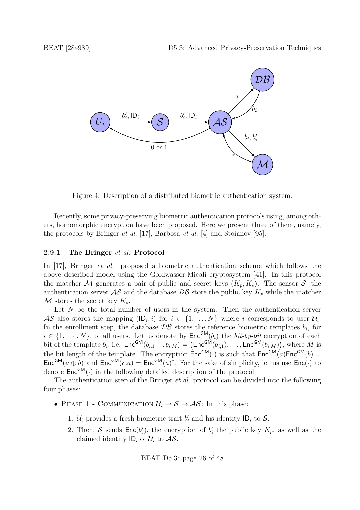

Figure 4: Description of a distributed biometric authentication system.

<span id="page-25-1"></span>Recently, some privacy-preserving biometric authentication protocols using, among others, homomorphic encryption have been proposed. Here we present three of them, namely, the protocols by Bringer et al. [\[17\]](#page-40-7), Barbosa et al. [\[4\]](#page-39-7) and Stoianov [\[95\]](#page-46-10).

#### <span id="page-25-0"></span>2.9.1 The Bringer et al. Protocol

In [\[17\]](#page-40-7), Bringer *et al.* proposed a biometric authentication scheme which follows the above described model using the Goldwasser-Micali cryptosystem [\[41\]](#page-42-10). In this protocol the matcher M generates a pair of public and secret keys  $(K_p, K_s)$ . The sensor S, the authentication server  $\mathcal{AS}$  and the database  $\mathcal{DB}$  store the public key  $K_p$  while the matcher  $\mathcal M$  stores the secret key  $K_s$ .

Let  $N$  be the total number of users in the system. Then the authentication server AS also stores the mapping  $(\mathsf{ID}_i, i)$  for  $i \in \{1, \ldots, N\}$  where i corresponds to user  $\mathcal{U}_i$ . In the enrollment step, the database  $\mathcal{DB}$  stores the reference biometric templates  $b_i$ , for  $i \in \{1, \dots, N\}$ , of all users. Let us denote by  $\mathsf{Enc}^{\mathsf{GM}}(b_i)$  the *bit-by-bit* encryption of each bit of the template  $b_i$ , i.e.  $\mathsf{Enc}^{\mathsf{GM}}(b_{i,1} \ldots b_{i,M}) = (\mathsf{Enc}^{\mathsf{GM}}(b_{i,1}), \ldots, \mathsf{Enc}^{\mathsf{GM}}(b_{i,M}))$ , where M is the bit length of the template. The encryption  $Enc^{GM}(\cdot)$  is such that  $Enc^{GM}(a)Enc^{GM}(b)$  $Enc^{GM}(a \oplus b)$  and  $Enc^{GM}(c.a) = Enc^{GM}(a)^c$ . For the sake of simplicity, let us use  $Enc(\cdot)$  to denote  $Enc^{GM}(\cdot)$  in the following detailed description of the protocol.

The authentication step of the Bringer *et al.* protocol can be divided into the following four phases:

- PHASE 1 COMMUNICATION  $\mathcal{U}_i \rightarrow \mathcal{S} \rightarrow \mathcal{AS}$ : In this phase:
	- 1.  $\mathcal{U}_i$  provides a fresh biometric trait  $b'_i$  and his identity  $\mathsf{ID}_i$  to  $\mathcal{S}$ .
	- 2. Then, S sends  $\textsf{Enc}(b_i')$ , the encryption of  $b_i'$  the public key  $K_p$ , as well as the claimed identity  $ID_i$  of  $U_i$  to  $AS$ .

BEAT D5.3: page 26 of [48](#page-39-0)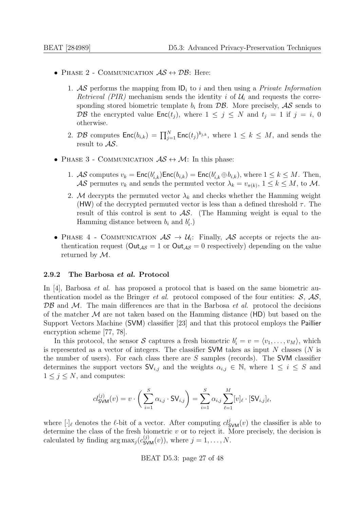- PHASE 2 COMMUNICATION  $AS \leftrightarrow DB$ : Here:
	- 1. AS performs the mapping from  $\mathsf{ID}_i$  to i and then using a *Private Information* Retrieval (PIR) mechanism sends the identity i of  $\mathcal{U}_i$  and requests the corresponding stored biometric template  $b_i$  from  $\mathcal{DB}$ . More precisely,  $\mathcal{AS}$  sends to DB the encrypted value  $\mathsf{Enc}(t_j)$ , where  $1 \leq j \leq N$  and  $t_j = 1$  if  $j = i, 0$ otherwise.
	- 2. DB computes  $\textsf{Enc}(b_{i,k}) = \prod_{j=1}^{N} \textsf{Enc}(t_j)^{b_{j,k}},$  where  $1 \leq k \leq M$ , and sends the result to AS.
- PHASE 3 COMMUNICATION  $AS \leftrightarrow \mathcal{M}$ : In this phase:
	- 1. AS computes  $v_k = \text{Enc}(b'_{i,k}) \text{Enc}(b_{i,k}) = \text{Enc}(b'_{i,k} \oplus b_{i,k}),$  where  $1 \leq k \leq M$ . Then,  $\mathcal{AS}$  permutes  $v_k$  and sends the permuted vector  $\lambda_k = v_{\pi(k)}, 1 \leq k \leq M$ , to M.
	- 2. M decrypts the permuted vector  $\lambda_k$  and checks whether the Hamming weight (HW) of the decrypted permuted vector is less than a defined threshold  $\tau$ . The result of this control is sent to  $\mathcal{AS}$ . (The Hamming weight is equal to the Hamming distance between  $b_i$  and  $b'_i$ .)
- PHASE 4 COMMUNICATION  $AS \rightarrow U_i$ : Finally, AS accepts or rejects the authentication request ( $\text{Out}_{AS} = 1$  or  $\text{Out}_{AS} = 0$  respectively) depending on the value returned by  $\mathcal{M}$ .

#### <span id="page-26-0"></span>2.9.2 The Barbosa et al. Protocol

In [\[4\]](#page-39-7), Barbosa et al. has proposed a protocol that is based on the same biometric authentication model as the Bringer *et al.* protocol composed of the four entities:  $S, AS$ ,  $\mathcal{DB}$  and M. The main differences are that in the Barbosa *et al.* protocol the decisions of the matcher  $M$  are not taken based on the Hamming distance ( $HD$ ) but based on the Support Vectors Machine (SVM) classifier [\[23\]](#page-41-6) and that this protocol employs the Paillier encryption scheme [\[77,](#page-45-7) [78\]](#page-45-9).

In this protocol, the sensor S captures a fresh biometric  $b'_i = v = \langle v_1, \ldots, v_M \rangle$ , which is represented as a vector of integers. The classifier SVM takes as input  $N$  classes ( $N$  is the number of users). For each class there are  $S$  samples (records). The SVM classifier determines the support vectors  $\mathsf{SV}_{i,j}$  and the weights  $\alpha_{i,j} \in \mathbb{N}$ , where  $1 \leq i \leq S$  and  $1 \leq j \leq N$ , and computes:

$$
cl_{\text{SVM}}^{(j)}(v) = v \cdot \left( \sum_{i=1}^{S} \alpha_{i,j} \cdot \text{SV}_{i,j} \right) = \sum_{i=1}^{S} \alpha_{i,j} \sum_{\ell=1}^{M} [v]_{\ell} \cdot [\text{SV}_{i,j}]_{\ell},
$$

where  $[\cdot]_\ell$  denotes the  $\ell$ -bit of a vector. After computing  $cl^j_{\text{SVM}}(v)$  the classifier is able to determine the class of the fresh biometric  $v$  or to reject it. More precisely, the decision is calculated by finding  $\arg \max_j (c_{\text{SVM}}^{(j)}(v))$ , where  $j = 1, ..., N$ .

#### BEAT D5.3: page 27 of [48](#page-39-0)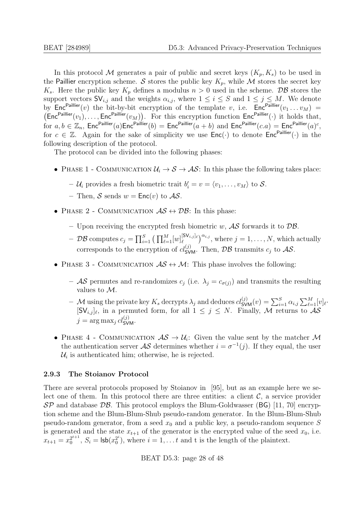In this protocol M generates a pair of public and secret keys  $(K_p, K_s)$  to be used in the Paillier encryption scheme. S stores the public key  $K_p$ , while M stores the secret key  $K_s$ . Here the public key  $K_p$  defines a modulus  $n > 0$  used in the scheme.  $\mathcal{DB}$  stores the support vectors  $\mathsf{SV}_{i,j}$  and the weights  $\alpha_{i,j}$ , where  $1 \leq i \leq S$  and  $1 \leq j \leq M$ . We denote by  $\textsf{Enc}^{\textsf{Paillier}}(v)$  the bit-by-bit encryption of the template v, i.e.  $\textsf{Enc}^{\textsf{Paillier}}(v_1 \ldots v_M)$  $(\textsf{Enc}^{\textsf{Paillier}}(v_1), \ldots, \textsf{Enc}^{\textsf{Paillier}}(v_M)).$  For this encryption function  $\textsf{Enc}^{\textsf{Paillier}}(\cdot)$  it holds that, for  $a, b \in \mathbb{Z}_n$ ,  $\mathsf{Enc}^{\mathsf{Paillier}}(a)\mathsf{Enc}^{\mathsf{Paillier}}(b) = \mathsf{Enc}^{\mathsf{Paillier}}(a+b)$  and  $\mathsf{Enc}^{\mathsf{Paillier}}(c.a) = \mathsf{Enc}^{\mathsf{Paillier}}(a)^c$ , for  $c \in \mathbb{Z}$ . Again for the sake of simplicity we use  $\mathsf{Enc}(\cdot)$  to denote  $\mathsf{Enc}^{\mathsf{Paillier}}(\cdot)$  in the following description of the protocol.

The protocol can be divided into the following phases:

- PHASE 1 COMMUNICATION  $\mathcal{U}_i \rightarrow \mathcal{S} \rightarrow \mathcal{AS}$ : In this phase the following takes place:
	- $-\mathcal{U}_i$  provides a fresh biometric trait  $b'_i = v = \langle v_1, \ldots, v_M \rangle$  to  $\mathcal{S}.$
	- Then, S sends  $w = \text{Enc}(v)$  to  $\mathcal{AS}$ .
- PHASE 2 COMMUNICATION  $AS \leftrightarrow DB$ : In this phase:
	- Upon receiving the encrypted fresh biometric w,  $\mathcal{AS}$  forwards it to  $\mathcal{DB}$ .
	- $\; \mathcal{DB} \text{ computes } c_j = \prod_{i=1}^S \big( \prod_{\ell=1}^M [w]_{\ell}^{[\mathsf{SV}_{i,j}]_{\ell}}$  $\binom{[\mathsf{SV}_{i,j}]_\ell}{\ell}^{\alpha_{i,j}}$ , where  $j = 1, \ldots, N$ , which actually corresponds to the encryption of  $cl_{\text{SVM}}^{(j)}$ . Then,  $\mathcal{DB}$  transmits  $c_j$  to  $\mathcal{AS}$ .
- PHASE 3 COMMUNICATION  $AS \leftrightarrow \mathcal{M}$ : This phase involves the following:
	- $\mathcal{AS}$  permutes and re-randomizes  $c_j$  (i.e.  $\lambda_j = c_{\sigma(j)}$ ) and transmits the resulting values to M.
	- $-$  M using the private key  $K_s$  decrypts  $\lambda_j$  and deduces  $cl_{\text{SVM}}^{(j)}(v) = \sum_{i=1}^S \alpha_{i,j} \sum_{\ell=1}^M [v]_{\ell}$ .  $[\mathsf{SV}_{i,j}]_\ell$ , in a permuted form, for all  $1 \leq j \leq N$ . Finally, M returns to  $\mathcal{AS}$  $j = \arg \max_j cl_{\text{SVM}}^{(j)}$ .
- PHASE 4 COMMUNICATION  $AS \rightarrow U_i$ : Given the value sent by the matcher M the authentication server  $\mathcal{AS}$  determines whether  $i = \sigma^{-1}(j)$ . If they equal, the user  $\mathcal{U}_i$  is authenticated him; otherwise, he is rejected.

#### <span id="page-27-0"></span>2.9.3 The Stoianov Protocol

There are several protocols proposed by Stoianov in [\[95\]](#page-46-10), but as an example here we select one of them. In this protocol there are three entities: a client  $\mathcal{C}$ , a service provider  $\mathcal{SP}$  and database  $\mathcal{DB}$ . This protocol employs the Blum-Goldwasser (BG) [\[11,](#page-40-8) [70\]](#page-45-10) encryption scheme and the Blum-Blum-Shub pseudo-random generator. In the Blum-Blum-Shub pseudo-random generator, from a seed  $x_0$  and a public key, a pseudo-random sequence S is generated and the state  $x_{t+1}$  of the generator is the encrypted value of the seed  $x_0$ , i.e.  $x_{t+1} = x_0^{2^{t+1}}$  $_0^{2^{t+1}}, S_i = \mathsf{lsb}(x_0^{2^i})$  $\binom{2^n}{0}$ , where  $i = 1, \ldots t$  and t is the length of the plaintext.

BEAT D5.3: page 28 of [48](#page-39-0)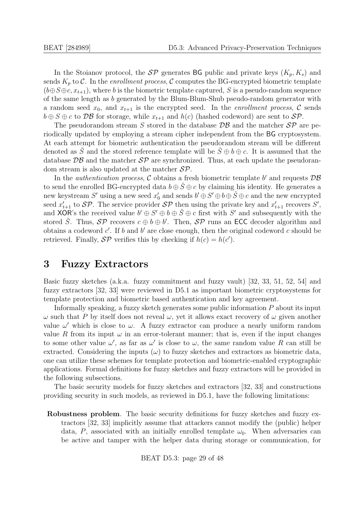In the Stoianov protocol, the  $\mathcal{SP}$  generates BG public and private keys  $(K_p, K_s)$  and sends  $K_p$  to C. In the *enrollment process,* C computes the BG-encrypted biometric template  $(b\oplus S\oplus c, x_{t+1})$ , where b is the biometric template captured, S is a pseudo-random sequence of the same length as b generated by the Blum-Blum-Shub pseudo-random generator with a random seed  $x_0$ , and  $x_{t+1}$  is the encrypted seed. In the *enrollment process*, C sends  $b \oplus S \oplus c$  to  $\mathcal{DB}$  for storage, while  $x_{t+1}$  and  $h(c)$  (hashed codeword) are sent to  $\mathcal{SP}$ .

The pseudorandom stream S stored in the database  $\mathcal{DB}$  and the matcher  $\mathcal{SP}$  are periodically updated by employing a stream cipher independent from the BG cryptosystem. At each attempt for biometric authentication the pseudorandom stream will be different denoted as  $\check{S}$  and the stored reference template will be  $\check{S} \oplus b \oplus c$ . It is assumed that the database  $\mathcal{DB}$  and the matcher  $\mathcal{SP}$  are synchronized. Thus, at each update the pseudorandom stream is also updated at the matcher  $\mathcal{SP}$ .

In the *authentication process*,  $C$  obtains a fresh biometric template b' and requests  $DB$ to send the enrolled BG-encrypted data  $b \oplus \check{S} \oplus c$  by claiming his identity. He generates a new keystream S' using a new seed  $x'_0$  and sends  $b' \oplus S' \oplus b \oplus \check{S} \oplus c$  and the new encrypted seed  $x'_{t+1}$  to  $\mathcal{SP}$ . The service provider  $\mathcal{SP}$  then using the private key and  $x'_{t+1}$  recovers  $S'$ , and XOR's the received value  $b' \oplus S' \oplus b \oplus \check{S} \oplus c$  first with S' and subsequently with the stored  $\check{S}$ . Thus,  $\mathcal{SP}$  recovers  $c \oplus b \oplus b'$ . Then,  $\mathcal{SP}$  runs an ECC decoder algorithm and obtains a codeword  $c'$ . If b and b' are close enough, then the original codeword c should be retrieved. Finally,  $\mathcal{SP}$  verifies this by checking if  $h(c) = h(c')$ .

# <span id="page-28-0"></span>3 Fuzzy Extractors

Basic fuzzy sketches (a.k.a. fuzzy commitment and fuzzy vault) [\[32,](#page-41-7) [33,](#page-41-8) [51,](#page-43-11) [52,](#page-43-1) [54\]](#page-43-12) and fuzzy extractors [\[32,](#page-41-7) [33\]](#page-41-8) were reviewed in D5.1 as important biometric cryptosystems for template protection and biometric based authentication and key agreement.

Informally speaking, a fuzzy sketch generates some public information P about its input  $ω$  such that P by itself does not reveal  $ω$ , yet it allows exact recovery of  $ω$  given another value  $\omega'$  which is close to  $\omega$ . A fuzzy extractor can produce a nearly uniform random value R from its input  $\omega$  in an error-tolerant manner; that is, even if the input changes to some other value  $\omega'$ , as far as  $\omega'$  is close to  $\omega$ , the same random value R can still be extracted. Considering the inputs  $(\omega)$  to fuzzy sketches and extractors as biometric data, one can utilize these schemes for template protection and biometric-enabled cryptographic applications. Formal definitions for fuzzy sketches and fuzzy extractors will be provided in the following subsections.

The basic security models for fuzzy sketches and extractors [\[32,](#page-41-7) [33\]](#page-41-8) and constructions providing security in such models, as reviewed in D5.1, have the following limitations:

Robustness problem. The basic security definitions for fuzzy sketches and fuzzy extractors [\[32,](#page-41-7) [33\]](#page-41-8) implicitly assume that attackers cannot modify the (public) helper data, P, associated with an initially enrolled template  $\omega_0$ . When adversaries can be active and tamper with the helper data during storage or communication, for

BEAT D5.3: page 29 of [48](#page-39-0)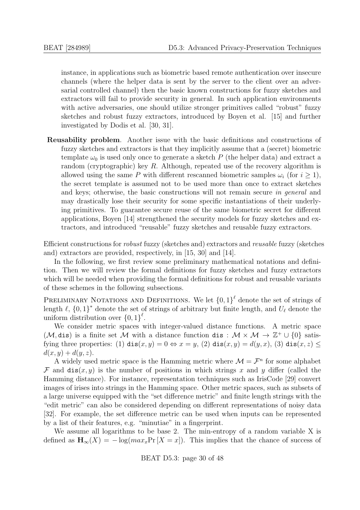instance, in applications such as biometric based remote authentication over insecure channels (where the helper data is sent by the server to the client over an adversarial controlled channel) then the basic known constructions for fuzzy sketches and extractors will fail to provide security in general. In such application environments with active adversaries, one should utilize stronger primitives called "robust" fuzzy sketches and robust fuzzy extractors, introduced by Boyen et al. [\[15\]](#page-40-9) and further investigated by Dodis et al. [\[30,](#page-41-9) [31\]](#page-41-10).

Reusability problem. Another issue with the basic definitions and constructions of fuzzy sketches and extractors is that they implicitly assume that a (secret) biometric template  $\omega_0$  is used only once to generate a sketch P (the helper data) and extract a random (cryptographic) key  $R$ . Although, repeated use of the recovery algorithm is allowed using the same P with different rescanned biometric samples  $\omega_i$  (for  $i \geq 1$ ), the secret template is assumed not to be used more than once to extract sketches and keys; otherwise, the basic constructions will not remain secure in general and may drastically lose their security for some specific instantiations of their underlying primitives. To guarantee secure reuse of the same biometric secret for different applications, Boyen [\[14\]](#page-40-10) strengthened the security models for fuzzy sketches and extractors, and introduced "reusable" fuzzy sketches and reusable fuzzy extractors.

Efficient constructions for robust fuzzy (sketches and) extractors and reusable fuzzy (sketches and) extractors are provided, respectively, in [\[15,](#page-40-9) [30\]](#page-41-9) and [\[14\]](#page-40-10).

In the following, we first review some preliminary mathematical notations and definition. Then we will review the formal definitions for fuzzy sketches and fuzzy extractors which will be needed when providing the formal definitions for robust and reusable variants of these schemes in the following subsections.

PRELIMINARY NOTATIONS AND DEFINITIONS. We let  ${0,1}^{\ell}$  denote the set of strings of length  $\ell$ ,  $\{0, 1\}^*$  denote the set of strings of arbitrary but finite length, and  $U_{\ell}$  denote the uniform distribution over  $\{0,1\}^{\ell}$ .

We consider metric spaces with integer-valued distance functions. A metric space  $(\mathcal{M}, \text{dis})$  is a finite set  $\mathcal M$  with a distance function dis:  $\mathcal M \times \mathcal M \to \mathbb Z^+ \cup \{0\}$  satisfying three properties: (1) dis $(x, y) = 0 \Leftrightarrow x = y$ , (2) dis $(x, y) = d(y, x)$ , (3) dis $(x, z) \le$  $d(x, y) + d(y, z).$ 

A widely used metric space is the Hamming metric where  $\mathcal{M} = \mathcal{F}^n$  for some alphabet F and  $dis(x, y)$  is the number of positions in which strings x and y differ (called the Hamming distance). For instance, representation techniques such as IrisCode [\[29\]](#page-41-11) convert images of irises into strings in the Hamming space. Other metric spaces, such as subsets of a large universe equipped with the "set difference metric" and finite length strings with the "edit metric" can also be considered depending on different representations of noisy data [\[32\]](#page-41-7). For example, the set difference metric can be used when inputs can be represented by a list of their features, e.g. "minutiae" in a fingerprint.

We assume all logarithms to be base 2. The min-entropy of a random variable X is defined as  $\mathbf{H}_{\infty}(X) = -\log(max_x \Pr[X = x])$ . This implies that the chance of success of

BEAT D5.3: page 30 of [48](#page-39-0)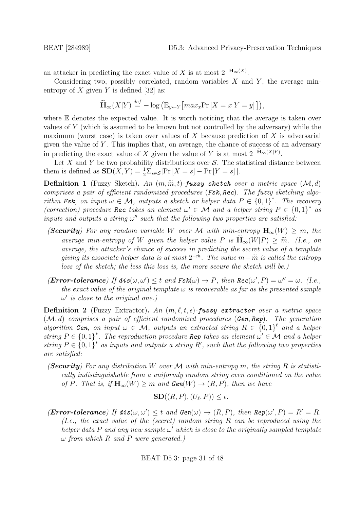an attacker in predicting the exact value of X is at most  $2^{-H_{\infty}(X)}$ .

Considering two, possibly correlated, random variables  $X$  and  $Y$ , the average min-entropy of X given Y is defined [\[32\]](#page-41-7) as:

$$
\widetilde{\mathbf{H}}_{\infty}(X|Y) \stackrel{def}{=} -\log \left( \mathbb{E}_{y \leftarrow Y} \left[ max_x \Pr\left[X = x | Y = y\right] \right] \right),
$$

where  $E$  denotes the expected value. It is worth noticing that the average is taken over values of Y (which is assumed to be known but not controlled by the adversary) while the maximum (worst case) is taken over values of  $X$  because prediction of  $X$  is adversarial given the value of  $Y$ . This implies that, on average, the chance of success of an adversary in predicting the exact value of X given the value of Y is at most  $2^{-H_{\infty}(X|Y)}$ .

Let X and Y be two probability distributions over  $\mathcal{S}$ . The statistical distance between them is defined as  $SD(X, Y) = \frac{1}{2} \sum_{s \in S} |Pr(X = s] - Pr(Y = s]|.$ 

<span id="page-30-0"></span>**Definition 1** (Fuzzy Sketch). An  $(m, \widetilde{m}, t)$ -fuzzy sketch over a metric space  $(\mathcal{M}, d)$ comprises a pair of efficient randomized procedures (Fsk, Rec). The fuzzy sketching algorithm Fsk, on input  $\omega \in \mathcal{M}$ , outputs a sketch or helper data  $P \in \{0,1\}^*$ . The recovery (correction) procedure Rec takes an element  $\omega' \in \mathcal{M}$  and a helper string  $P \in \{0,1\}^*$  as inputs and outputs a string  $\omega''$  such that the following two properties are satisfied:

- (Security) For any random variable W over M with min-entropy  $\mathbf{H}_{\infty}(W) \geq m$ , the average min-entropy of W given the helper value P is  $H_{\infty}(W|P) > \tilde{m}$ . (I.e., on average, the attacker's chance of success in predicting the secret value of a template giving its associate helper data is at most  $2^{-\tilde{m}}$ . The value  $m-\tilde{m}$  is called the entropy<br>loss of the sketch: the less this loss is, the more secure the sketch will be loss of the sketch; the less this loss is, the more secure the sketch will be.)
- $(Error\text{-}tolerance)$  If  $dis(\omega, \omega') \leq t$  and  $Fsk(\omega) \to P$ , then  $Rec(\omega', P) = \omega'' = \omega$ . (I.e., the exact value of the original template  $\omega$  is recoverable as far as the presented sample  $\omega'$  is close to the original one.)

**Definition 2** (Fuzzy Extractor). An  $(m, \ell, t, \epsilon)$ -fuzzy extractor over a metric space  $(\mathcal{M}, d)$  comprises a pair of efficient randomized procedures (Gen, Rep). The generation algorithm Gen, on input  $\omega \in \mathcal{M}$ , outputs an extracted string  $R \in \{0,1\}^{\ell}$  and a helper string  $P \in \{0,1\}^*$ . The reproduction procedure **Rep** takes an element  $\omega' \in \mathcal{M}$  and a helper string  $P \in \{0,1\}^*$  as inputs and outputs a string R', such that the following two properties are satisfied:

(Security) For any distribution W over M with min-entropy m, the string R is statistically indistinguishable from a uniformly random string even conditioned on the value of P. That is, if  $H_{\infty}(W) \geq m$  and  $Gen(W) \rightarrow (R, P)$ , then we have

$$
\mathbf{SD}((R, P), (U_{\ell}, P)) \le \epsilon.
$$

**(Error-tolerance)** If  $dis(\omega, \omega') \leq t$  and  $Gen(\omega) \rightarrow (R, P)$ , then  $Rep(\omega', P) = R' = R$ . (I.e., the exact value of the (secret) random string R can be reproduced using the helper data P and any new sample  $\omega'$  which is close to the originally sampled template  $\omega$  from which R and P were generated.)

BEAT D5.3: page 31 of [48](#page-39-0)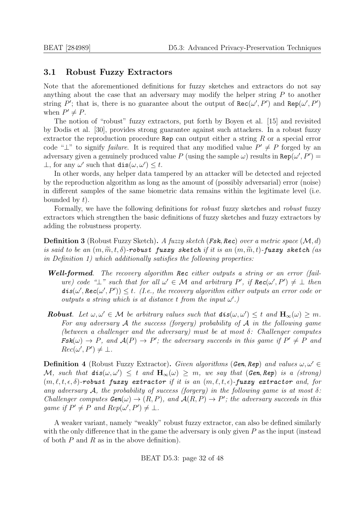## <span id="page-31-0"></span>3.1 Robust Fuzzy Extractors

Note that the aforementioned definitions for fuzzy sketches and extractors do not say anything about the case that an adversary may modify the helper string P to another string P'; that is, there is no guarantee about the output of  $\text{Rec}(\omega', P')$  and  $\text{Rep}(\omega', P')$ when  $P' \neq P$ .

The notion of "robust" fuzzy extractors, put forth by Boyen et al. [\[15\]](#page-40-9) and revisited by Dodis et al. [\[30\]](#page-41-9), provides strong guarantee against such attackers. In a robust fuzzy extractor the reproduction procedure Rep can output either a string R or a special error code " $\perp$ " to signify *failure*. It is required that any modified value  $P' \neq P$  forged by an adversary given a genuinely produced value P (using the sample  $\omega$ ) results in Rep( $\omega'$ , P') =  $\perp$ , for any  $\omega'$  such that  $dis(\omega, \omega') \leq t$ .

In other words, any helper data tampered by an attacker will be detected and rejected by the reproduction algorithm as long as the amount of (possibly adversarial) error (noise) in different samples of the same biometric data remains within the legitimate level (i.e. bounded by t).

Formally, we have the following definitions for robust fuzzy sketches and robust fuzzy extractors which strengthen the basic definitions of fuzzy sketches and fuzzy extractors by adding the robustness property.

<span id="page-31-2"></span>**Definition 3** (Robust Fuzzy Sketch). A fuzzy sketch (Fsk, Rec) over a metric space  $(\mathcal{M}, d)$ is said to be an  $(m, \widetilde{m}, t, \delta)$ -robust fuzzy sketch if it is an  $(m, \widetilde{m}, t)$ -fuzzy sketch (as in Definition [1\)](#page-30-0) which additionally satisfies the following properties:

- Well-formed. The recovery algorithm Rec either outputs a string or an error (failure) code " $\perp$ " such that for all  $\omega' \in \mathcal{M}$  and arbitrary P', if  $\text{Rec}(\omega', P') \neq \perp$  then  $dis(\omega', Rec(\omega', P')) \leq t$ . (I.e., the recovery algorithm either outputs an error code or outputs a string which is at distance t from the input  $\omega'$ .
- **Robust**. Let  $\omega, \omega' \in \mathcal{M}$  be arbitrary values such that  $\text{dis}(\omega, \omega') \leq t$  and  $\mathbf{H}_{\infty}(\omega) \geq m$ . For any adversary  $A$  the success (forgery) probability of  $A$  in the following game (between a challenger and the adversary) must be at most  $\delta$ : Challenger computes  $Fs(\omega) \rightarrow P$ , and  $\mathcal{A}(P) \rightarrow P'$ ; the adversary succeeds in this game if  $P' \neq P$  and  $Rec(\omega', P') \neq \bot.$

<span id="page-31-1"></span>**Definition 4** (Robust Fuzzy Extractor). Given algorithms (Gen, Rep) and values  $\omega, \omega' \in$ M, such that  $dis(\omega, \omega') \leq t$  and  $H_{\infty}(\omega) \geq m$ , we say that (Gen, Rep) is a (strong)  $(m, \ell, t, \epsilon, \delta)$ -robust fuzzy extractor if it is an  $(m, \ell, t, \epsilon)$ -fuzzy extractor and, for any adversary A, the probability of success (forgery) in the following game is at most  $\delta$ : Challenger computes  $Gen(\omega) \rightarrow (R, P)$ , and  $A(R, P) \rightarrow P'$ ; the adversary succeeds in this game if  $P' \neq P$  and  $Rep(\omega', P') \neq \bot$ .

A weaker variant, namely "weakly" robust fuzzy extractor, can also be defined similarly with the only difference that in the game the adversary is only given  $P$  as the input (instead of both  $P$  and  $R$  as in the above definition).

BEAT D5.3: page 32 of [48](#page-39-0)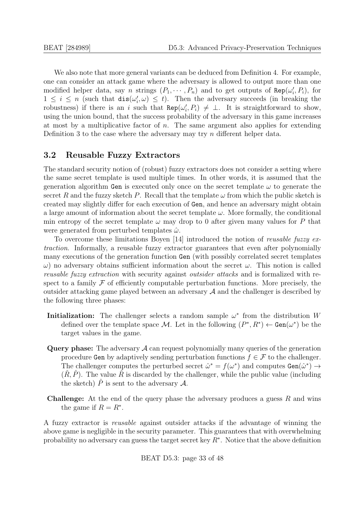We also note that more general variants can be deduced from Definition [4.](#page-31-1) For example, one can consider an attack game where the adversary is allowed to output more than one modified helper data, say n strings  $(P_1, \dots, P_n)$  and to get outputs of  $\text{Rep}(\omega'_i, P_i)$ , for  $1 \leq i \leq n$  (such that  $dis(\omega'_i, \omega) \leq t$ ). Then the adversary succeeds (in breaking the robustness) if there is an i such that  $\text{Rep}(\omega_i', P_i) \neq \bot$ . It is straightforward to show, using the union bound, that the success probability of the adversary in this game increases at most by a multiplicative factor of  $n$ . The same argument also applies for extending Definition [3](#page-31-2) to the case where the adversary may try n different helper data.

## <span id="page-32-0"></span>3.2 Reusable Fuzzy Extractors

The standard security notion of (robust) fuzzy extractors does not consider a setting where the same secret template is used multiple times. In other words, it is assumed that the generation algorithm Gen is executed only once on the secret template  $\omega$  to generate the secret R and the fuzzy sketch P. Recall that the template  $\omega$  from which the public sketch is created may slightly differ for each execution of Gen, and hence an adversary might obtain a large amount of information about the secret template  $\omega$ . More formally, the conditional min entropy of the secret template  $\omega$  may drop to 0 after given many values for P that were generated from perturbed templates  $\hat{\omega}$ .

To overcome these limitations Boyen [\[14\]](#page-40-10) introduced the notion of reusable fuzzy extraction. Informally, a reusable fuzzy extractor guarantees that even after polynomially many executions of the generation function Gen (with possibly correlated secret templates  $ω$ ) no adversary obtains sufficient information about the secret  $ω$ . This notion is called reusable fuzzy extraction with security against outsider attacks and is formalized with respect to a family  $\mathcal F$  of efficiently computable perturbation functions. More precisely, the outsider attacking game played between an adversary  $A$  and the challenger is described by the following three phases:

- **Initialization:** The challenger selects a random sample  $\omega^*$  from the distribution W defined over the template space M. Let in the following  $(P^*, R^*) \leftarrow \text{Gen}(\omega^*)$  be the target values in the game.
- **Query phase:** The adversary  $\mathcal A$  can request polynomially many queries of the generation procedure Gen by adaptively sending perturbation functions  $f \in \mathcal{F}$  to the challenger. The challenger computes the perturbed secret  $\hat{\omega}^* = f(\omega^*)$  and computes  $Gen(\hat{\omega}^*) \rightarrow$  $(\hat{R}, \hat{P})$ . The value  $\hat{R}$  is discarded by the challenger, while the public value (including the sketch)  $\hat{P}$  is sent to the adversary  $\mathcal{A}$ .
- **Challenge:** At the end of the query phase the adversary produces a guess  $R$  and wins the game if  $R = R^*$ .

A fuzzy extractor is reusable against outsider attacks if the advantage of winning the above game is negligible in the security parameter. This guarantees that with overwhelming probability no adversary can guess the target secret key  $R^*$ . Notice that the above definition

BEAT D5.3: page 33 of [48](#page-39-0)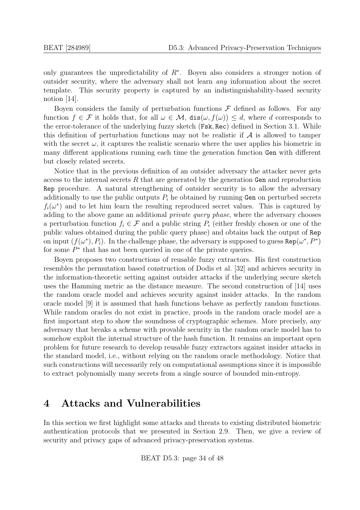only guarantees the unpredictability of  $R^*$ . Boyen also considers a stronger notion of outsider security, where the adversary shall not learn any information about the secret template. This security property is captured by an indistinguishability-based security notion [\[14\]](#page-40-10).

Boyen considers the family of perturbation functions  $\mathcal F$  defined as follows. For any function  $f \in \mathcal{F}$  it holds that, for all  $\omega \in \mathcal{M}$ ,  $\text{dis}(\omega, f(\omega)) \leq d$ , where d corresponds to the error-tolerance of the underlying fuzzy sketch (Fsk, Rec) defined in Section [3.1.](#page-31-0) While this definition of perturbation functions may not be realistic if  $A$  is allowed to tamper with the secret  $\omega$ , it captures the realistic scenario where the user applies his biometric in many different applications running each time the generation function Gen with different but closely related secrets.

Notice that in the previous definition of an outsider adversary the attacker never gets access to the internal secrets R that are generated by the generation Gen and reproduction Rep procedure. A natural strengthening of outsider security is to allow the adversary additionally to use the public outputs  $P_i$  he obtained by running Gen on perturbed secrets  $f_i(\omega^*)$  and to let him learn the resulting reproduced secret values. This is captured by adding to the above game an additional *private query phase*, where the adversary chooses a perturbation function  $f_i \in \mathcal{F}$  and a public string  $P_i$  (either freshly chosen or one of the public values obtained during the public query phase) and obtains back the output of Rep on input  $(f(\omega^*), P_i)$ . In the challenge phase, the adversary is supposed to guess Rep $(\omega^*, P^*)$ for some  $P^*$  that has not been queried in one of the private queries.

Boyen proposes two constructions of reusable fuzzy extractors. His first construction resembles the permutation based construction of Dodis et al. [\[32\]](#page-41-7) and achieves security in the information-theoretic setting against outsider attacks if the underlying secure sketch uses the Hamming metric as the distance measure. The second construction of [\[14\]](#page-40-10) uses the random oracle model and achieves security against insider attacks. In the random oracle model [\[9\]](#page-39-8) it is assumed that hash functions behave as perfectly random functions. While random oracles do not exist in practice, proofs in the random oracle model are a first important step to show the soundness of cryptographic schemes. More precisely, any adversary that breaks a scheme with provable security in the random oracle model has to somehow exploit the internal structure of the hash function. It remains an important open problem for future research to develop reusable fuzzy extractors against insider attacks in the standard model, i.e., without relying on the random oracle methodology. Notice that such constructions will necessarily rely on computational assumptions since it is impossible to extract polynomially many secrets from a single source of bounded min-entropy.

# <span id="page-33-0"></span>4 Attacks and Vulnerabilities

In this section we first highlight some attacks and threats to existing distributed biometric authentication protocols that we presented in Section [2.9.](#page-24-0) Then, we give a review of security and privacy gaps of advanced privacy-preservation systems.

BEAT D5.3: page 34 of [48](#page-39-0)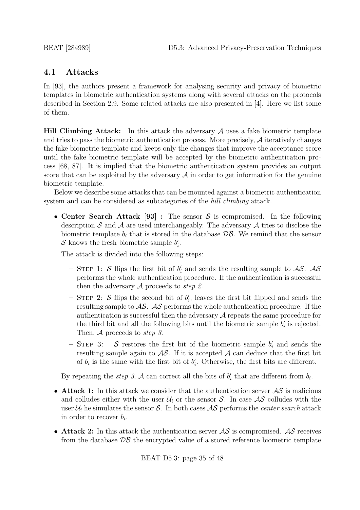## <span id="page-34-0"></span>4.1 Attacks

In [\[93\]](#page-46-2), the authors present a framework for analysing security and privacy of biometric templates in biometric authentication systems along with several attacks on the protocols described in Section [2.9.](#page-24-0) Some related attacks are also presented in [\[4\]](#page-39-7). Here we list some of them.

**Hill Climbing Attack:** In this attack the adversary  $A$  uses a fake biometric template and tries to pass the biometric authentication process. More precisely,  $A$  iteratively changes the fake biometric template and keeps only the changes that improve the acceptance score until the fake biometric template will be accepted by the biometric authentication process [\[68,](#page-44-9) [87\]](#page-46-11). It is implied that the biometric authentication system provides an output score that can be exploited by the adversary  $A$  in order to get information for the genuine biometric template.

Below we describe some attacks that can be mounted against a biometric authentication system and can be considered as subcategories of the hill climbing attack.

• Center Search Attack [\[93\]](#page-46-2) : The sensor  $S$  is compromised. In the following description S and A are used interchangeably. The adversary A tries to disclose the biometric template  $b_i$  that is stored in the database  $\mathcal{DB}$ . We remind that the sensor S knows the fresh biometric sample  $b_i'$ .

The attack is divided into the following steps:

- STEP 1: S flips the first bit of  $b_i'$  and sends the resulting sample to  $\mathcal{AS}$ .  $\mathcal{AS}$ performs the whole authentication procedure. If the authentication is successful then the adversary  $A$  proceeds to *step 2*.
- STEP 2: S flips the second bit of  $b'_i$ , leaves the first bit flipped and sends the resulting sample to  $\mathcal{AS}$ .  $\mathcal{AS}$  performs the whole authentication procedure. If the authentication is successful then the adversary  $A$  repeats the same procedure for the third bit and all the following bits until the biometric sample  $b_i$  is rejected. Then, A proceeds to *step* 3.
- STEP 3: S restores the first bit of the biometric sample  $b'_i$  and sends the resulting sample again to  $\mathcal{AS}$ . If it is accepted  $\mathcal{A}$  can deduce that the first bit of  $b_i$  is the same with the first bit of  $b'_i$ . Otherwise, the first bits are different.

By repeating the *step* 3, A can correct all the bits of  $b'_i$  that are different from  $b_i$ .

- Attack 1: In this attack we consider that the authentication server  $AS$  is malicious and colludes either with the user  $\mathcal{U}_i$  or the sensor S. In case  $\mathcal{A}\mathcal{S}$  colludes with the user  $\mathcal{U}_i$  he simulates the sensor S. In both cases  $\mathcal{AS}$  performs the *center search* attack in order to recover  $b_i$ .
- Attack 2: In this attack the authentication server  $\mathcal{AS}$  is compromised.  $\mathcal{AS}$  receives from the database  $\mathcal{DB}$  the encrypted value of a stored reference biometric template

BEAT D5.3: page 35 of [48](#page-39-0)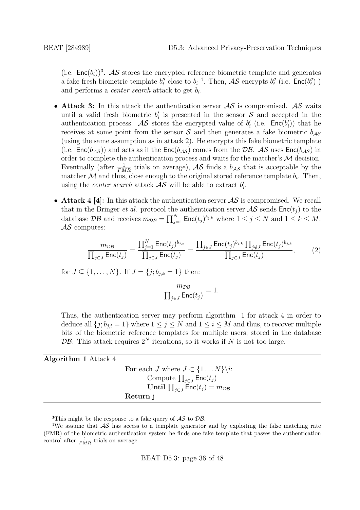(i.e.  $Enc(b_i)$ )<sup>[3](#page-35-0)</sup>. AS stores the encrypted reference biometric template and generates a fake fresh biometric template  $b_i''$  close to  $b_i^4$  $b_i^4$ . Then,  $\mathcal{AS}$  encrypts  $b_i''$  (i.e.  $Enc(b_i'')$ ) and performs a *center search* attack to get  $b_i$ .

- Attack 3: In this attack the authentication server  $\mathcal{AS}$  is compromised.  $\mathcal{AS}$  waits until a valid fresh biometric  $b_i$  is presented in the sensor  $S$  and accepted in the authentication process.  $\mathcal{AS}$  stores the encrypted value of  $b_i$  (i.e.  $\mathsf{Enc}(b_i')$ ) that he receives at some point from the sensor  $S$  and then generates a fake biometric  $b_{\mathcal{AS}}$ (using the same assumption as in attack 2). He encrypts this fake biometric template (i.e.  $Enc(b_{\mathcal{AS}})$ ) and acts as if the  $Enc(b_{\mathcal{AS}})$  comes from the DB.  $\mathcal{AS}$  uses  $Enc(b_{\mathcal{AS}})$  in order to complete the authentication process and waits for the matcher's  ${\mathcal M}$  decision. Eventually (after  $\frac{1}{FMR}$  trials on average),  $\mathcal{AS}$  finds a  $b_{\mathcal{AS}}$  that is acceptable by the matcher  $\mathcal M$  and thus, close enough to the original stored reference template  $b_i$ . Then, using the *center search* attack  $\mathcal{AS}$  will be able to extract  $b_i'$ .
- Attack 4 [\[4\]](#page-39-7): In this attack the authentication server  $\mathcal{AS}$  is compromised. We recall that in the Bringer *et al.* protocol the authentication server  $AS$  sends  $Enc(t_i)$  to the database  $\mathcal{DB}$  and receives  $m_{\mathcal{DB}} = \prod_{j=1}^N \mathsf{Enc}(t_j)^{b_{j,k}}$  where  $1 \leq j \leq N$  and  $1 \leq k \leq M$ .  $\mathcal{AS}$  computes:

$$
\frac{m_{\mathcal{D}\mathcal{B}}}{\prod_{j\in J}\text{Enc}(t_j)} = \frac{\prod_{j=1}^N \text{Enc}(t_j)^{b_{j,k}}}{\prod_{j\in J}\text{Enc}(t_j)} = \frac{\prod_{j\in J}\text{Enc}(t_j)^{b_{j,k}}\prod_{j\notin J}\text{Enc}(t_j)^{b_{j,k}}}{\prod_{j\in J}\text{Enc}(t_j)},\tag{2}
$$

for  $J \subseteq \{1, ..., N\}$ . If  $J = \{j; b_{j,k} = 1\}$  then:

<span id="page-35-2"></span>
$$
\frac{m_{\mathcal{DB}}}{\prod_{j\in J} \mathsf{Enc}(t_j)} = 1.
$$

Thus, the authentication server may perform algorithm [1](#page-35-2) for attack 4 in order to deduce all  $\{j; b_{j,i} = 1\}$  where  $1 \leq j \leq N$  and  $1 \leq i \leq M$  and thus, to recover multiple bits of the biometric reference templates for multiple users, stored in the database DB. This attack requires  $2^N$  iterations, so it works if N is not too large.

| <b>Algorithm 1</b> Attack 4 |                                                           |
|-----------------------------|-----------------------------------------------------------|
|                             | For each J where $J \subset \{1 \dots N\} \backslash i$ : |
|                             | Compute $\prod_{i \in J}$ Enc $(t_j)$                     |
|                             | Until $\prod_{i \in J}$ Enc $(t_j) = m_{\mathcal{DB}}$    |
|                             | Return j                                                  |

<span id="page-35-1"></span><span id="page-35-0"></span><sup>&</sup>lt;sup>3</sup>This might be the response to a fake query of  $\mathcal{AS}$  to  $\mathcal{DB}$ .

<sup>&</sup>lt;sup>4</sup>We assume that  $\mathcal{A}\mathcal{S}$  has access to a template generator and by exploiting the false matching rate (FMR) of the biometric authentication system he finds one fake template that passes the authentication control after  $\frac{1}{FMR}$  trials on average.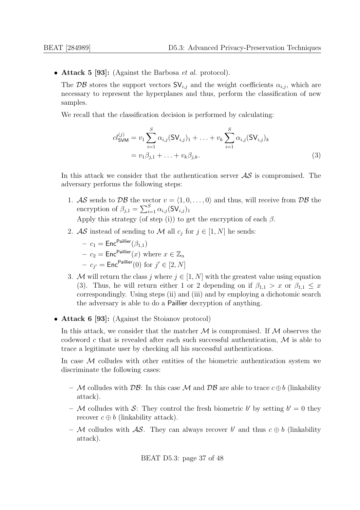• Attack 5 [\[93\]](#page-46-2): (Against the Barbosa *et al.* protocol).

The DB stores the support vectors  $SV_{i,j}$  and the weight coefficients  $\alpha_{i,j}$ , which are necessary to represent the hyperplanes and thus, perform the classification of new samples.

We recall that the classification decision is performed by calculating:

<span id="page-36-0"></span>
$$
cl_{\text{SVM}}^{(j)} = v_1 \sum_{i=1}^{S} \alpha_{i,j} (\text{SV}_{i,j})_1 + \ldots + v_k \sum_{i=1}^{S} \alpha_{i,j} (\text{SV}_{i,j})_k
$$
  
=  $v_1 \beta_{j,1} + \ldots + v_k \beta_{j,k}.$  (3)

In this attack we consider that the authentication server  $\mathcal{AS}$  is compromised. The adversary performs the following steps:

- 1. AS sends to DB the vector  $v = \langle 1, 0, \ldots, 0 \rangle$  and thus, will receive from DB the encryption of  $\beta_{j,1} = \sum_{i=1}^{S} \alpha_{i,j} (\mathsf{SV}_{i,j})_1$ 
	- Apply this strategy (of step (i)) to get the encryption of each  $\beta$ .
- 2. AS instead of sending to M all  $c_j$  for  $j \in [1, N]$  he sends:

$$
- \ c_1 = \mathsf{Enc}^{\mathsf{Paillier}}(\beta_{1,1})
$$

- $\ c_2 = \mathsf{Enc}^{\mathsf{Paillier}}(x)$  where  $x \in \mathbb{Z}_n$
- $c_{j'} = \mathsf{Enc}^{\mathsf{Paillier}}(0)$  for  $j' \in [2,N]$
- 3. M will return the class j where  $j \in [1, N]$  with the greatest value using equation [\(3\)](#page-36-0). Thus, he will return either 1 or 2 depending on if  $\beta_{1,1} > x$  or  $\beta_{1,1} \leq x$ correspondingly. Using steps (ii) and (iii) and by employing a dichotomic search the adversary is able to do a Paillier decryption of anything.
- Attack 6 [\[93\]](#page-46-2): (Against the Stoianov protocol)

In this attack, we consider that the matcher  $\mathcal M$  is compromised. If  $\mathcal M$  observes the codeword c that is revealed after each such successful authentication,  $\mathcal M$  is able to trace a legitimate user by checking all his successful authentications.

In case M colludes with other entities of the biometric authentication system we discriminate the following cases:

- M colludes with  $\mathcal{DB}$ : In this case M and  $\mathcal{DB}$  are able to trace  $c \oplus b$  (linkability attack).
- M colludes with S: They control the fresh biometric b' by setting  $b' = 0$  they recover  $c \oplus b$  (linkability attack).
- M colludes with  $\mathcal{AS}$ . They can always recover b' and thus  $c \oplus b$  (linkability attack).

BEAT D5.3: page 37 of [48](#page-39-0)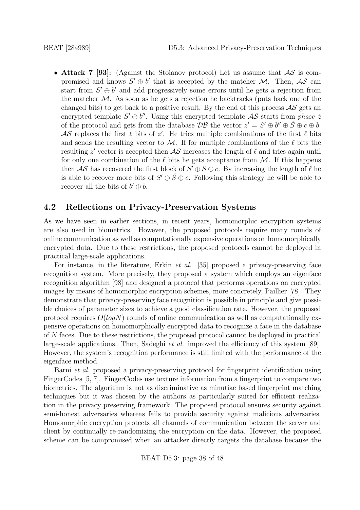• Attack 7 [\[93\]](#page-46-2): (Against the Stoianov protocol) Let us assume that  $AS$  is compromised and knows  $S' \oplus b'$  that is accepted by the matcher M. Then,  $AS$  can start from  $S' \oplus b'$  and add progressively some errors until he gets a rejection from the matcher  $M$ . As soon as he gets a rejection he backtracks (puts back one of the changed bits) to get back to a positive result. By the end of this process  $\mathcal{AS}$  gets an encrypted template  $S' \oplus b''$ . Using this encrypted template  $\mathcal{AS}$  starts from phase  $\mathcal{Z}$ of the protocol and gets from the database  $\overline{\mathcal{DB}}$  the vector  $z' = S' \oplus b'' \oplus \check{S} \oplus c \oplus b$ .  $\mathcal{AS}$  replaces the first  $\ell$  bits of  $z'$ . He tries multiple combinations of the first  $\ell$  bits and sends the resulting vector to M. If for multiple combinations of the  $\ell$  bits the resulting  $z'$  vector is accepted then  $\mathcal{AS}$  increases the length of  $\ell$  and tries again until for only one combination of the  $\ell$  bits he gets acceptance from M. If this happens then  $\mathcal{AS}$  has recovered the first block of  $S' \oplus S \oplus c$ . By increasing the length of  $\ell$  he is able to recover more bits of  $S' \oplus \check{S} \oplus c$ . Following this strategy he will be able to recover all the bits of  $b' \oplus b$ .

## <span id="page-37-0"></span>4.2 Reflections on Privacy-Preservation Systems

As we have seen in earlier sections, in recent years, homomorphic encryption systems are also used in biometrics. However, the proposed protocols require many rounds of online communication as well as computationally expensive operations on homomorphically encrypted data. Due to these restrictions, the proposed protocols cannot be deployed in practical large-scale applications.

For instance, in the literature, Erkin *et al.* [\[35\]](#page-42-11) proposed a privacy-preserving face recognition system. More precisely, they proposed a system which employs an eigenface recognition algorithm [\[98\]](#page-47-4) and designed a protocol that performs operations on encrypted images by means of homomorphic encryption schemes, more concretely, Paillier [\[78\]](#page-45-9). They demonstrate that privacy-preserving face recognition is possible in principle and give possible choices of parameter sizes to achieve a good classification rate. However, the proposed protocol requires  $O(logN)$  rounds of online communication as well as computationally expensive operations on homomorphically encrypted data to recognize a face in the database of N faces. Due to these restrictions, the proposed protocol cannot be deployed in practical large-scale applications. Then, Sadeghi et al. improved the efficiency of this system [\[89\]](#page-46-12). However, the system's recognition performance is still limited with the performance of the eigenface method.

Barni et al. proposed a privacy-preserving protocol for fingerprint identification using FingerCodes [\[5,](#page-39-1) [7\]](#page-39-9). FingerCodes use texture information from a fingerprint to compare two biometrics. The algorithm is not as discriminative as minutiae based fingerprint matching techniques but it was chosen by the authors as particularly suited for efficient realization in the privacy preserving framework. The proposed protocol ensures security against semi-honest adversaries whereas fails to provide security against malicious adversaries. Homomorphic encryption protects all channels of communication between the server and client by continually re-randomizing the encryption on the data. However, the proposed scheme can be compromised when an attacker directly targets the database because the

BEAT D5.3: page 38 of [48](#page-39-0)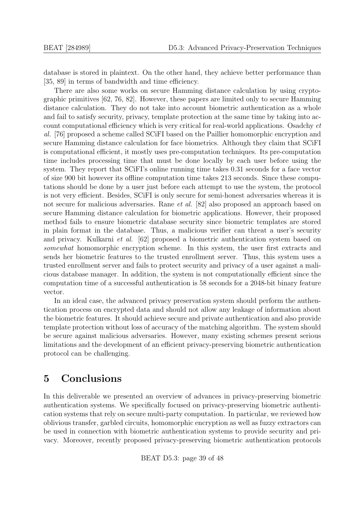database is stored in plaintext. On the other hand, they achieve better performance than [\[35,](#page-42-11) [89\]](#page-46-12) in terms of bandwidth and time efficiency.

There are also some works on secure Hamming distance calculation by using cryptographic primitives [\[62,](#page-44-10) [76,](#page-45-11) [82\]](#page-45-12). However, these papers are limited only to secure Hamming distance calculation. They do not take into account biometric authentication as a whole and fail to satisfy security, privacy, template protection at the same time by taking into account computational efficiency which is very critical for real-world applications. Osadchy et al. [\[76\]](#page-45-11) proposed a scheme called SCiFI based on the Paillier homomorphic encryption and secure Hamming distance calculation for face biometrics. Although they claim that SCiFI is computational efficient, it mostly uses pre-computation techniques. Its pre-computation time includes processing time that must be done locally by each user before using the system. They report that SCiFI's online running time takes 0.31 seconds for a face vector of size 900 bit however its offline computation time takes 213 seconds. Since these computations should be done by a user just before each attempt to use the system, the protocol is not very efficient. Besides, SCiFI is only secure for semi-honest adversaries whereas it is not secure for malicious adversaries. Rane *et al.* [\[82\]](#page-45-12) also proposed an approach based on secure Hamming distance calculation for biometric applications. However, their proposed method fails to ensure biometric database security since biometric templates are stored in plain format in the database. Thus, a malicious verifier can threat a user's security and privacy. Kulkarni et al. [\[62\]](#page-44-10) proposed a biometric authentication system based on somewhat homomorphic encryption scheme. In this system, the user first extracts and sends her biometric features to the trusted enrollment server. Thus, this system uses a trusted enrollment server and fails to protect security and privacy of a user against a malicious database manager. In addition, the system is not computationally efficient since the computation time of a successful authentication is 58 seconds for a 2048-bit binary feature vector.

In an ideal case, the advanced privacy preservation system should perform the authentication process on encrypted data and should not allow any leakage of information about the biometric features. It should achieve secure and private authentication and also provide template protection without loss of accuracy of the matching algorithm. The system should be secure against malicious adversaries. However, many existing schemes present serious limitations and the development of an efficient privacy-preserving biometric authentication protocol can be challenging.

## <span id="page-38-0"></span>5 Conclusions

In this deliverable we presented an overview of advances in privacy-preserving biometric authentication systems. We specifically focused on privacy-preserving biometric authentication systems that rely on secure multi-party computation. In particular, we reviewed how oblivious transfer, garbled circuits, homomorphic encryption as well as fuzzy extractors can be used in connection with biometric authentication systems to provide security and privacy. Moreover, recently proposed privacy-preserving biometric authentication protocols

BEAT D5.3: page 39 of [48](#page-39-0)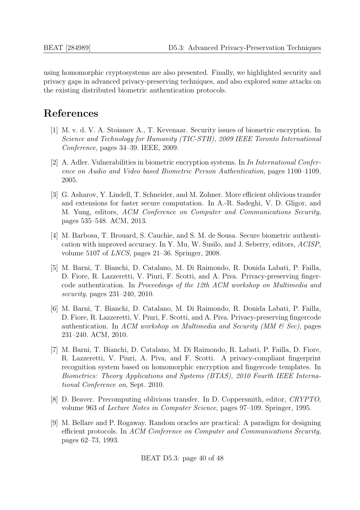using homomorphic cryptosystems are also presented. Finally, we highlighted security and privacy gaps in advanced privacy-preserving techniques, and also explored some attacks on the existing distributed biometric authentication protocols.

# <span id="page-39-0"></span>References

- <span id="page-39-2"></span>[1] M. v. d. V. A. Stoianov A., T. Kevenaar. Security issues of biometric encryption. In Science and Technology for Humanity (TIC-STH), 2009 IEEE Toronto International Conference, pages 34–39. IEEE, 2009.
- <span id="page-39-3"></span>[2] A. Adler. Vulnerabilities in biometric encryption systems. In In International Conference on Audio and Video based Biometric Person Authentication, pages 1100–1109, 2005.
- <span id="page-39-6"></span>[3] G. Asharov, Y. Lindell, T. Schneider, and M. Zohner. More efficient oblivious transfer and extensions for faster secure computation. In A.-R. Sadeghi, V. D. Gligor, and M. Yung, editors, ACM Conference on Computer and Communications Security, pages 535–548. ACM, 2013.
- <span id="page-39-7"></span>[4] M. Barbosa, T. Brouard, S. Cauchie, and S. M. de Sousa. Secure biometric authentication with improved accuracy. In Y. Mu, W. Susilo, and J. Seberry, editors, ACISP, volume 5107 of  $LNCS$ , pages 21–36. Springer, 2008.
- <span id="page-39-1"></span>[5] M. Barni, T. Bianchi, D. Catalano, M. Di Raimondo, R. Donida Labati, P. Failla, D. Fiore, R. Lazzeretti, V. Piuri, F. Scotti, and A. Piva. Privacy-preserving fingercode authentication. In Proceedings of the 12th ACM workshop on Multimedia and security, pages 231–240, 2010.
- <span id="page-39-4"></span>[6] M. Barni, T. Bianchi, D. Catalano, M. Di Raimondo, R. Donida Labati, P. Failla, D. Fiore, R. Lazzeretti, V. Piuri, F. Scotti, and A. Piva. Privacy-preserving fingercode authentication. In ACM workshop on Multimedia and Security (MM  $\mathcal{C}$  Sec), pages 231–240. ACM, 2010.
- <span id="page-39-9"></span>[7] M. Barni, T. Bianchi, D. Catalano, M. Di Raimondo, R. Labati, P. Failla, D. Fiore, R. Lazzeretti, V. Piuri, A. Piva, and F. Scotti. A privacy-compliant fingerprint recognition system based on homomorphic encryption and fingercode templates. In Biometrics: Theory Applications and Systems (BTAS), 2010 Fourth IEEE International Conference on, Sept. 2010.
- <span id="page-39-5"></span>[8] D. Beaver. Precomputing oblivious transfer. In D. Coppersmith, editor, CRYPTO, volume 963 of Lecture Notes in Computer Science, pages 97–109. Springer, 1995.
- <span id="page-39-8"></span>[9] M. Bellare and P. Rogaway. Random oracles are practical: A paradigm for designing efficient protocols. In ACM Conference on Computer and Communications Security, pages 62–73, 1993.

BEAT D5.3: page 40 of [48](#page-39-0)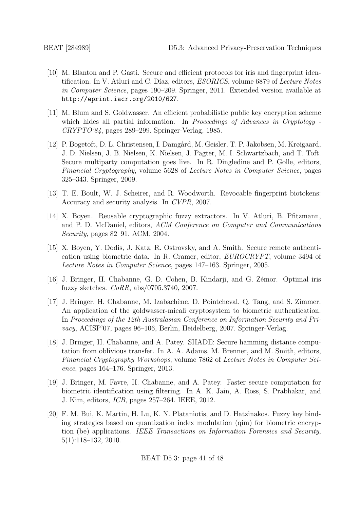- <span id="page-40-4"></span>[10] M. Blanton and P. Gasti. Secure and efficient protocols for iris and fingerprint identification. In V. Atluri and C. Díaz, editors, *ESORICS*, volume 6879 of *Lecture Notes* in Computer Science, pages 190–209. Springer, 2011. Extended version available at <http://eprint.iacr.org/2010/627>.
- <span id="page-40-8"></span>[11] M. Blum and S. Goldwasser. An efficient probabilistic public key encryption scheme which hides all partial information. In Proceedings of Advances in Cryptology -CRYPTO'84, pages 289–299. Springer-Verlag, 1985.
- <span id="page-40-3"></span>[12] P. Bogetoft, D. L. Christensen, I. Damgård, M. Geisler, T. P. Jakobsen, M. Krøigaard, J. D. Nielsen, J. B. Nielsen, K. Nielsen, J. Pagter, M. I. Schwartzbach, and T. Toft. Secure multiparty computation goes live. In R. Dingledine and P. Golle, editors, Financial Cryptography, volume 5628 of Lecture Notes in Computer Science, pages 325–343. Springer, 2009.
- <span id="page-40-2"></span>[13] T. E. Boult, W. J. Scheirer, and R. Woodworth. Revocable fingerprint biotokens: Accuracy and security analysis. In CVPR, 2007.
- <span id="page-40-10"></span>[14] X. Boyen. Reusable cryptographic fuzzy extractors. In V. Atluri, B. Pfitzmann, and P. D. McDaniel, editors, ACM Conference on Computer and Communications Security, pages 82–91. ACM, 2004.
- <span id="page-40-9"></span>[15] X. Boyen, Y. Dodis, J. Katz, R. Ostrovsky, and A. Smith. Secure remote authentication using biometric data. In R. Cramer, editor, EUROCRYPT, volume 3494 of Lecture Notes in Computer Science, pages 147–163. Springer, 2005.
- <span id="page-40-0"></span>[16] J. Bringer, H. Chabanne, G. D. Cohen, B. Kindarji, and G. Zémor. Optimal iris fuzzy sketches. CoRR, abs/0705.3740, 2007.
- <span id="page-40-7"></span>[17] J. Bringer, H. Chabanne, M. Izabachène, D. Pointcheval, Q. Tang, and S. Zimmer. An application of the goldwasser-micali cryptosystem to biometric authentication. In Proceedings of the 12th Australasian Conference on Information Security and Privacy, ACISP'07, pages 96–106, Berlin, Heidelberg, 2007. Springer-Verlag.
- <span id="page-40-5"></span>[18] J. Bringer, H. Chabanne, and A. Patey. SHADE: Secure hamming distance computation from oblivious transfer. In A. A. Adams, M. Brenner, and M. Smith, editors, Financial Cryptography Workshops, volume 7862 of Lecture Notes in Computer Science, pages 164–176. Springer, 2013.
- <span id="page-40-6"></span>[19] J. Bringer, M. Favre, H. Chabanne, and A. Patey. Faster secure computation for biometric identification using filtering. In A. K. Jain, A. Ross, S. Prabhakar, and J. Kim, editors, ICB, pages 257–264. IEEE, 2012.
- <span id="page-40-1"></span>[20] F. M. Bui, K. Martin, H. Lu, K. N. Plataniotis, and D. Hatzinakos. Fuzzy key binding strategies based on quantization index modulation (qim) for biometric encryption (be) applications. IEEE Transactions on Information Forensics and Security, 5(1):118–132, 2010.

BEAT D5.3: page 41 of [48](#page-39-0)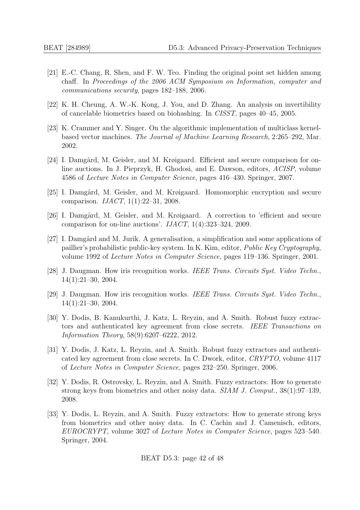- <span id="page-41-0"></span>[21] E.-C. Chang, R. Shen, and F. W. Teo. Finding the original point set hidden among chaff. In Proceedings of the 2006 ACM Symposium on Information, computer and communications security, pages 182–188, 2006.
- <span id="page-41-1"></span>[22] K. H. Cheung, A. W.-K. Kong, J. You, and D. Zhang. An analysis on invertibility of cancelable biometrics based on biohashing. In CISST, pages 40–45, 2005.
- <span id="page-41-6"></span>[23] K. Crammer and Y. Singer. On the algorithmic implementation of multiclass kernelbased vector machines. The Journal of Machine Learning Research, 2:265–292, Mar. 2002.
- <span id="page-41-2"></span>[24] I. Damgård, M. Geisler, and M. Krøigaard. Efficient and secure comparison for online auctions. In J. Pieprzyk, H. Ghodosi, and E. Dawson, editors, ACISP, volume 4586 of Lecture Notes in Computer Science, pages 416–430. Springer, 2007.
- [25] I. Damgård, M. Geisler, and M. Krøigaard. Homomorphic encryption and secure comparison. IJACT, 1(1):22–31, 2008.
- <span id="page-41-3"></span>[26] I. Damgård, M. Geisler, and M. Krøigaard. A correction to 'efficient and secure comparison for on-line auctions'. IJACT, 1(4):323–324, 2009.
- <span id="page-41-4"></span>[27] I. Damgård and M. Jurik. A generalisation, a simplification and some applications of paillier's probabilistic public-key system. In K. Kim, editor, Public Key Cryptography, volume 1992 of Lecture Notes in Computer Science, pages 119–136. Springer, 2001.
- <span id="page-41-5"></span>[28] J. Daugman. How iris recognition works. IEEE Trans. Circuits Syst. Video Techn., 14(1):21–30, 2004.
- <span id="page-41-11"></span>[29] J. Daugman. How iris recognition works. IEEE Trans. Circuits Syst. Video Techn., 14(1):21–30, 2004.
- <span id="page-41-9"></span>[30] Y. Dodis, B. Kanukurthi, J. Katz, L. Reyzin, and A. Smith. Robust fuzzy extractors and authenticated key agreement from close secrets. IEEE Transactions on Information Theory, 58(9):6207–6222, 2012.
- <span id="page-41-10"></span>[31] Y. Dodis, J. Katz, L. Reyzin, and A. Smith. Robust fuzzy extractors and authenticated key agreement from close secrets. In C. Dwork, editor, CRYPTO, volume 4117 of Lecture Notes in Computer Science, pages 232–250. Springer, 2006.
- <span id="page-41-7"></span>[32] Y. Dodis, R. Ostrovsky, L. Reyzin, and A. Smith. Fuzzy extractors: How to generate strong keys from biometrics and other noisy data. SIAM J. Comput., 38(1):97–139, 2008.
- <span id="page-41-8"></span>[33] Y. Dodis, L. Reyzin, and A. Smith. Fuzzy extractors: How to generate strong keys from biometrics and other noisy data. In C. Cachin and J. Camenisch, editors, EUROCRYPT, volume 3027 of Lecture Notes in Computer Science, pages 523–540. Springer, 2004.

BEAT D5.3: page 42 of [48](#page-39-0)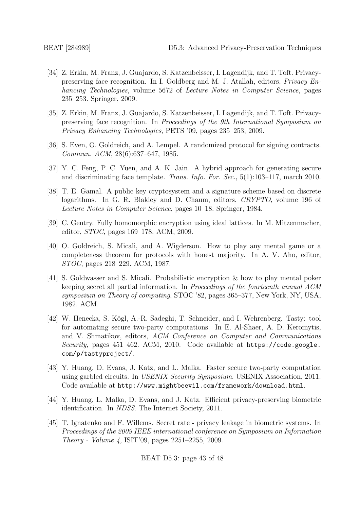- <span id="page-42-3"></span>[34] Z. Erkin, M. Franz, J. Guajardo, S. Katzenbeisser, I. Lagendijk, and T. Toft. Privacypreserving face recognition. In I. Goldberg and M. J. Atallah, editors, Privacy Enhancing Technologies, volume 5672 of Lecture Notes in Computer Science, pages 235–253. Springer, 2009.
- <span id="page-42-11"></span>[35] Z. Erkin, M. Franz, J. Guajardo, S. Katzenbeisser, I. Lagendijk, and T. Toft. Privacypreserving face recognition. In Proceedings of the 9th International Symposium on Privacy Enhancing Technologies, PETS '09, pages 235–253, 2009.
- <span id="page-42-5"></span>[36] S. Even, O. Goldreich, and A. Lempel. A randomized protocol for signing contracts. Commun. ACM, 28(6):637–647, 1985.
- <span id="page-42-0"></span>[37] Y. C. Feng, P. C. Yuen, and A. K. Jain. A hybrid approach for generating secure and discriminating face template. Trans. Info. For. Sec., 5(1):103–117, march 2010.
- <span id="page-42-7"></span>[38] T. E. Gamal. A public key cryptosystem and a signature scheme based on discrete logarithms. In G. R. Blakley and D. Chaum, editors, CRYPTO, volume 196 of Lecture Notes in Computer Science, pages 10–18. Springer, 1984.
- <span id="page-42-8"></span>[39] C. Gentry. Fully homomorphic encryption using ideal lattices. In M. Mitzenmacher, editor, STOC, pages 169–178. ACM, 2009.
- <span id="page-42-2"></span>[40] O. Goldreich, S. Micali, and A. Wigderson. How to play any mental game or a completeness theorem for protocols with honest majority. In A. V. Aho, editor, STOC, pages 218–229. ACM, 1987.
- <span id="page-42-10"></span>[41] S. Goldwasser and S. Micali. Probabilistic encryption & how to play mental poker keeping secret all partial information. In Proceedings of the fourteenth annual ACM symposium on Theory of computing, STOC '82, pages 365–377, New York, NY, USA, 1982. ACM.
- <span id="page-42-9"></span>[42] W. Henecka, S. Kögl, A.-R. Sadeghi, T. Schneider, and I. Wehrenberg. Tasty: tool for automating secure two-party computations. In E. Al-Shaer, A. D. Keromytis, and V. Shmatikov, editors, ACM Conference on Computer and Communications Security, pages 451–462. ACM, 2010. Code available at [https://code.google.](https://code.google.com/p/tastyproject/) [com/p/tastyproject/](https://code.google.com/p/tastyproject/).
- <span id="page-42-6"></span>[43] Y. Huang, D. Evans, J. Katz, and L. Malka. Faster secure two-party computation using garbled circuits. In USENIX Security Symposium. USENIX Association, 2011. Code available at <http://www.mightbeevil.com/framework/download.html>.
- <span id="page-42-4"></span>[44] Y. Huang, L. Malka, D. Evans, and J. Katz. Efficient privacy-preserving biometric identification. In NDSS. The Internet Society, 2011.
- <span id="page-42-1"></span>[45] T. Ignatenko and F. Willems. Secret rate - privacy leakage in biometric systems. In Proceedings of the 2009 IEEE international conference on Symposium on Information Theory - Volume 4, ISIT'09, pages 2251–2255, 2009.

BEAT D5.3: page 43 of [48](#page-39-0)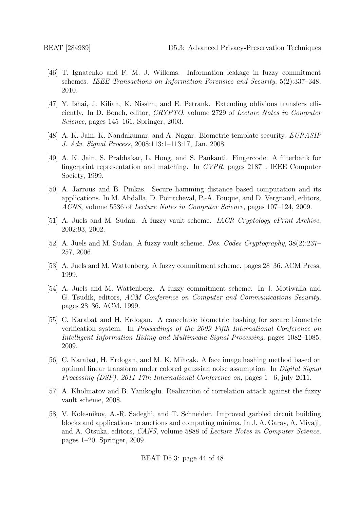- <span id="page-43-5"></span>[46] T. Ignatenko and F. M. J. Willems. Information leakage in fuzzy commitment schemes. IEEE Transactions on Information Forensics and Security, 5(2):337–348, 2010.
- <span id="page-43-7"></span>[47] Y. Ishai, J. Kilian, K. Nissim, and E. Petrank. Extending oblivious transfers efficiently. In D. Boneh, editor, CRYPTO, volume 2729 of Lecture Notes in Computer Science, pages 145–161. Springer, 2003.
- <span id="page-43-0"></span>[48] A. K. Jain, K. Nandakumar, and A. Nagar. Biometric template security. EURASIP J. Adv. Signal Process, 2008:113:1–113:17, Jan. 2008.
- <span id="page-43-9"></span>[49] A. K. Jain, S. Prabhakar, L. Hong, and S. Pankanti. Fingercode: A filterbank for fingerprint representation and matching. In CVPR, pages 2187–. IEEE Computer Society, 1999.
- <span id="page-43-10"></span>[50] A. Jarrous and B. Pinkas. Secure hamming distance based computation and its applications. In M. Abdalla, D. Pointcheval, P.-A. Fouque, and D. Vergnaud, editors, ACNS, volume 5536 of Lecture Notes in Computer Science, pages 107–124, 2009.
- <span id="page-43-11"></span>[51] A. Juels and M. Sudan. A fuzzy vault scheme. IACR Cryptology ePrint Archive, 2002:93, 2002.
- <span id="page-43-1"></span>[52] A. Juels and M. Sudan. A fuzzy vault scheme. Des. Codes Cryptography, 38(2):237– 257, 2006.
- <span id="page-43-2"></span>[53] A. Juels and M. Wattenberg. A fuzzy commitment scheme. pages 28–36. ACM Press, 1999.
- <span id="page-43-12"></span>[54] A. Juels and M. Wattenberg. A fuzzy commitment scheme. In J. Motiwalla and G. Tsudik, editors, ACM Conference on Computer and Communications Security, pages 28–36. ACM, 1999.
- <span id="page-43-3"></span>[55] C. Karabat and H. Erdogan. A cancelable biometric hashing for secure biometric verification system. In Proceedings of the 2009 Fifth International Conference on Intelligent Information Hiding and Multimedia Signal Processing, pages 1082–1085, 2009.
- <span id="page-43-4"></span>[56] C. Karabat, H. Erdogan, and M. K. Mihcak. A face image hashing method based on optimal linear transform under colored gaussian noise assumption. In Digital Signal Processing (DSP), 2011 17th International Conference on, pages  $1 - 6$ , july 2011.
- <span id="page-43-6"></span>[57] A. Kholmatov and B. Yanikoglu. Realization of correlation attack against the fuzzy vault scheme, 2008.
- <span id="page-43-8"></span>[58] V. Kolesnikov, A.-R. Sadeghi, and T. Schneider. Improved garbled circuit building blocks and applications to auctions and computing minima. In J. A. Garay, A. Miyaji, and A. Otsuka, editors, CANS, volume 5888 of Lecture Notes in Computer Science, pages 1–20. Springer, 2009.

BEAT D5.3: page 44 of [48](#page-39-0)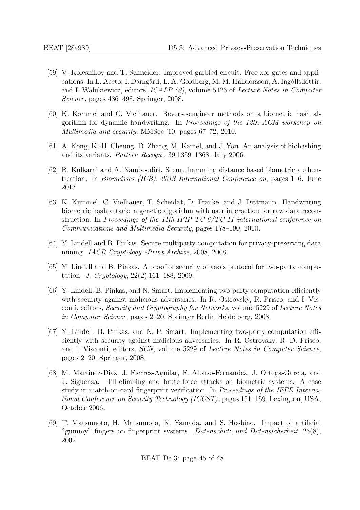- <span id="page-44-8"></span>[59] V. Kolesnikov and T. Schneider. Improved garbled circuit: Free xor gates and applications. In L. Aceto, I. Damgård, L. A. Goldberg, M. M. Halldórsson, A. Ingólfsdóttir, and I. Walukiewicz, editors, ICALP (2), volume 5126 of Lecture Notes in Computer Science, pages 486–498. Springer, 2008.
- <span id="page-44-1"></span>[60] K. Kommel and C. Vielhauer. Reverse-engineer methods on a biometric hash algorithm for dynamic handwriting. In Proceedings of the 12th ACM workshop on Multimedia and security, MMSec '10, pages 67–72, 2010.
- <span id="page-44-2"></span>[61] A. Kong, K.-H. Cheung, D. Zhang, M. Kamel, and J. You. An analysis of biohashing and its variants. Pattern Recogn., 39:1359–1368, July 2006.
- <span id="page-44-10"></span>[62] R. Kulkarni and A. Namboodiri. Secure hamming distance based biometric authentication. In Biometrics (ICB), 2013 International Conference on, pages 1–6, June 2013.
- <span id="page-44-3"></span>[63] K. Kummel, C. Vielhauer, T. Scheidat, D. Franke, and J. Dittmann. Handwriting biometric hash attack: a genetic algorithm with user interaction for raw data reconstruction. In Proceedings of the 11th IFIP TC  $6/TC$  11 international conference on Communications and Multimedia Security, pages 178–190, 2010.
- <span id="page-44-5"></span>[64] Y. Lindell and B. Pinkas. Secure multiparty computation for privacy-preserving data mining. IACR Cryptology ePrint Archive, 2008, 2008.
- <span id="page-44-4"></span>[65] Y. Lindell and B. Pinkas. A proof of security of yao's protocol for two-party computation. J. Cryptology, 22(2):161–188, 2009.
- <span id="page-44-6"></span>[66] Y. Lindell, B. Pinkas, and N. Smart. Implementing two-party computation efficiently with security against malicious adversaries. In R. Ostrovsky, R. Prisco, and I. Visconti, editors, Security and Cryptography for Networks, volume 5229 of Lecture Notes in Computer Science, pages 2–20. Springer Berlin Heidelberg, 2008.
- <span id="page-44-7"></span>[67] Y. Lindell, B. Pinkas, and N. P. Smart. Implementing two-party computation efficiently with security against malicious adversaries. In R. Ostrovsky, R. D. Prisco, and I. Visconti, editors, SCN, volume 5229 of Lecture Notes in Computer Science, pages 2–20. Springer, 2008.
- <span id="page-44-9"></span>[68] M. Martinez-Diaz, J. Fierrez-Aguilar, F. Alonso-Fernandez, J. Ortega-Garcia, and J. Siguenza. Hill-climbing and brute-force attacks on biometric systems: A case study in match-on-card fingerprint verification. In Proceedings of the IEEE International Conference on Security Technology (ICCST), pages 151–159, Lexington, USA, October 2006.
- <span id="page-44-0"></span>[69] T. Matsumoto, H. Matsumoto, K. Yamada, and S. Hoshino. Impact of artificial "gummy" fingers on fingerprint systems. Datenschutz und Datensicherheit, 26(8), 2002.

BEAT D5.3: page 45 of [48](#page-39-0)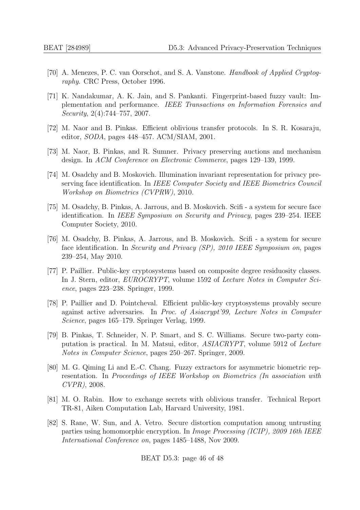- <span id="page-45-10"></span>[70] A. Menezes, P. C. van Oorschot, and S. A. Vanstone. Handbook of Applied Cryptography. CRC Press, October 1996.
- <span id="page-45-0"></span>[71] K. Nandakumar, A. K. Jain, and S. Pankanti. Fingerprint-based fuzzy vault: Implementation and performance. IEEE Transactions on Information Forensics and Security, 2(4):744–757, 2007.
- <span id="page-45-4"></span>[72] M. Naor and B. Pinkas. Efficient oblivious transfer protocols. In S. R. Kosaraju, editor, SODA, pages 448–457. ACM/SIAM, 2001.
- <span id="page-45-6"></span>[73] M. Naor, B. Pinkas, and R. Sumner. Privacy preserving auctions and mechanism design. In ACM Conference on Electronic Commerce, pages 129–139, 1999.
- <span id="page-45-8"></span>[74] M. Osadchy and B. Moskovich. Illumination invariant representation for privacy preserving face identification. In IEEE Computer Society and IEEE Biometrics Council Workshop on Biometrics (CVPRW), 2010.
- <span id="page-45-2"></span>[75] M. Osadchy, B. Pinkas, A. Jarrous, and B. Moskovich. Scifi - a system for secure face identification. In IEEE Symposium on Security and Privacy, pages 239–254. IEEE Computer Society, 2010.
- <span id="page-45-11"></span>[76] M. Osadchy, B. Pinkas, A. Jarrous, and B. Moskovich. Scifi - a system for secure face identification. In Security and Privacy (SP), 2010 IEEE Symposium on, pages 239–254, May 2010.
- <span id="page-45-7"></span>[77] P. Paillier. Public-key cryptosystems based on composite degree residuosity classes. In J. Stern, editor, EUROCRYPT, volume 1592 of Lecture Notes in Computer Science, pages 223–238. Springer, 1999.
- <span id="page-45-9"></span>[78] P. Paillier and D. Pointcheval. Efficient public-key cryptosystems provably secure against active adversaries. In Proc. of Asiacrypt'99, Lecture Notes in Computer Science, pages 165–179. Springer Verlag, 1999.
- <span id="page-45-5"></span>[79] B. Pinkas, T. Schneider, N. P. Smart, and S. C. Williams. Secure two-party computation is practical. In M. Matsui, editor, ASIACRYPT, volume 5912 of Lecture Notes in Computer Science, pages 250–267. Springer, 2009.
- <span id="page-45-1"></span>[80] M. G. Qiming Li and E.-C. Chang. Fuzzy extractors for asymmetric biometric representation. In Proceedings of IEEE Workshop on Biometrics (In association with CVPR), 2008.
- <span id="page-45-3"></span>[81] M. O. Rabin. How to exchange secrets with oblivious transfer. Technical Report TR-81, Aiken Computation Lab, Harvard University, 1981.
- <span id="page-45-12"></span>[82] S. Rane, W. Sun, and A. Vetro. Secure distortion computation among untrusting parties using homomorphic encryption. In Image Processing (ICIP), 2009 16th IEEE International Conference on, pages 1485–1488, Nov 2009.

BEAT D5.3: page 46 of [48](#page-39-0)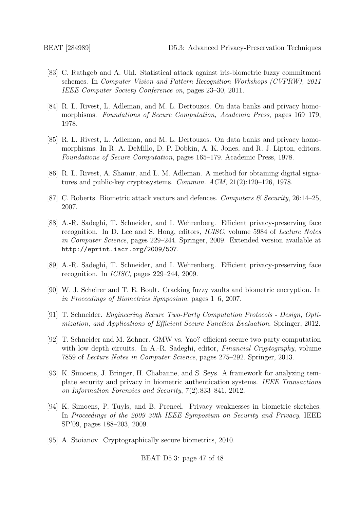- <span id="page-46-0"></span>[83] C. Rathgeb and A. Uhl. Statistical attack against iris-biometric fuzzy commitment schemes. In Computer Vision and Pattern Recognition Workshops (CVPRW), 2011 IEEE Computer Society Conference on, pages 23–30, 2011.
- <span id="page-46-4"></span>[84] R. L. Rivest, L. Adleman, and M. L. Dertouzos. On data banks and privacy homomorphisms. Foundations of Secure Computation, Academia Press, pages 169–179, 1978.
- <span id="page-46-8"></span>[85] R. L. Rivest, L. Adleman, and M. L. Dertouzos. On data banks and privacy homomorphisms. In R. A. DeMillo, D. P. Dobkin, A. K. Jones, and R. J. Lipton, editors, Foundations of Secure Computation, pages 165–179. Academic Press, 1978.
- <span id="page-46-9"></span>[86] R. L. Rivest, A. Shamir, and L. M. Adleman. A method for obtaining digital signatures and public-key cryptosystems. Commun. ACM, 21(2):120–126, 1978.
- <span id="page-46-11"></span>[87] C. Roberts. Biometric attack vectors and defences. Computers & Security, 26:14–25, 2007.
- <span id="page-46-5"></span>[88] A.-R. Sadeghi, T. Schneider, and I. Wehrenberg. Efficient privacy-preserving face recognition. In D. Lee and S. Hong, editors, ICISC, volume 5984 of Lecture Notes in Computer Science, pages 229–244. Springer, 2009. Extended version available at <http://eprint.iacr.org/2009/507>.
- <span id="page-46-12"></span>[89] A.-R. Sadeghi, T. Schneider, and I. Wehrenberg. Efficient privacy-preserving face recognition. In ICISC, pages 229–244, 2009.
- <span id="page-46-1"></span>[90] W. J. Scheirer and T. E. Boult. Cracking fuzzy vaults and biometric encryption. In in Proceedings of Biometrics Symposium, pages 1–6, 2007.
- <span id="page-46-7"></span>[91] T. Schneider. Engineering Secure Two-Party Computation Protocols - Design, Optimization, and Applications of Efficient Secure Function Evaluation. Springer, 2012.
- <span id="page-46-6"></span>[92] T. Schneider and M. Zohner. GMW vs. Yao? efficient secure two-party computation with low depth circuits. In A.-R. Sadeghi, editor, *Financial Cryptography*, volume 7859 of Lecture Notes in Computer Science, pages 275–292. Springer, 2013.
- <span id="page-46-2"></span>[93] K. Simoens, J. Bringer, H. Chabanne, and S. Seys. A framework for analyzing template security and privacy in biometric authentication systems. IEEE Transactions on Information Forensics and Security, 7(2):833–841, 2012.
- <span id="page-46-3"></span>[94] K. Simoens, P. Tuyls, and B. Preneel. Privacy weaknesses in biometric sketches. In Proceedings of the 2009 30th IEEE Symposium on Security and Privacy, IEEE SP'09, pages 188–203, 2009.
- <span id="page-46-10"></span>[95] A. Stoianov. Cryptographically secure biometrics, 2010.

BEAT D5.3: page 47 of [48](#page-39-0)